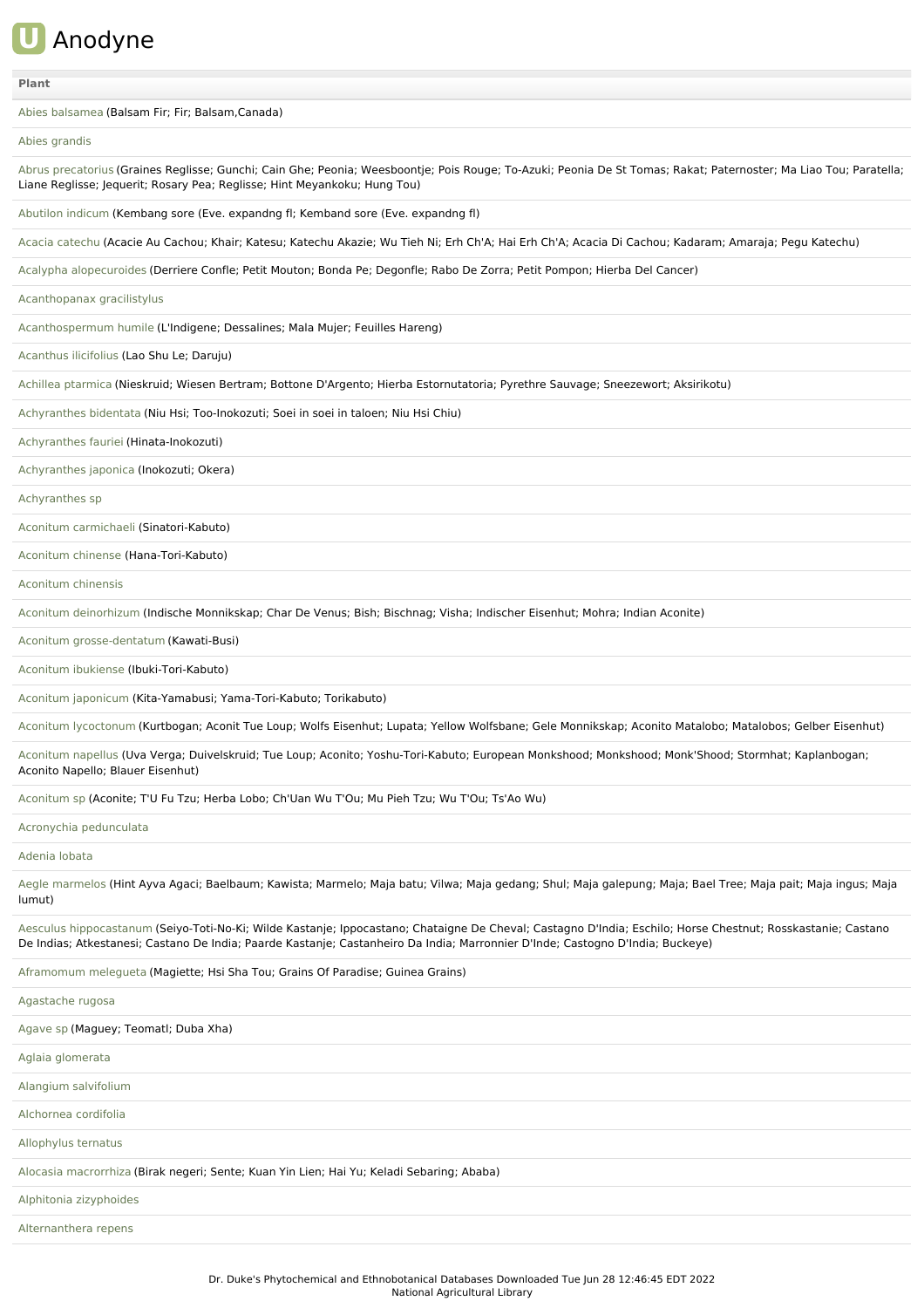

# **[Plant](file:///phytochem/ethnoActivity/ethnoActivityListAll?max=&offset=0&count=&filter=&sort=plant&order=asc)**

Abies [balsamea](file:///phytochem/ethnoPlants/show/3992) (Balsam Fir; Fir; Balsam,Canada)

### Abies [grandis](file:///phytochem/ethnoPlants/show/1180)

Abrus [precatorius](file:///phytochem/ethnoPlants/show/132) (Graines Reglisse; Gunchi; Cain Ghe; Peonia; Weesboontje; Pois Rouge; To-Azuki; Peonia De St Tomas; Rakat; Paternoster; Ma Liao Tou; Paratella; Liane Reglisse; Jequerit; Rosary Pea; Reglisse; Hint Meyankoku; Hung Tou)

[Abutilon](file:///phytochem/ethnoPlants/show/1573) indicum (Kembang sore (Eve. expandng fl; Kemband sore (Eve. expandng fl)

Acacia [catechu](file:///phytochem/ethnoPlants/show/1574) (Acacie Au Cachou; Khair; Katesu; Katechu Akazie; Wu Tieh Ni; Erh Ch'A; Hai Erh Ch'A; Acacia Di Cachou; Kadaram; Amaraja; Pegu Katechu)

Acalypha [alopecuroides](file:///phytochem/ethnoPlants/show/2747) (Derriere Confle; Petit Mouton; Bonda Pe; Degonfle; Rabo De Zorra; Petit Pompon; Hierba Del Cancer)

[Acanthopanax](file:///phytochem/ethnoPlants/show/1575) gracilistylus

[Acanthospermum](file:///phytochem/ethnoPlants/show/1576) humile (L'Indigene; Dessalines; Mala Mujer; Feuilles Hareng)

[Acanthus](file:///phytochem/ethnoPlants/show/1577) ilicifolius (Lao Shu Le; Daruju)

Achillea [ptarmica](file:///phytochem/ethnoPlants/show/554) (Nieskruid; Wiesen Bertram; Bottone D'Argento; Hierba Estornutatoria; Pyrethre Sauvage; Sneezewort; Aksirikotu)

[Achyranthes](file:///phytochem/ethnoPlants/show/555) bidentata (Niu Hsi; Too-Inokozuti; Soei in soei in taloen; Niu Hsi Chiu)

[Achyranthes](file:///phytochem/ethnoPlants/show/6103) fauriei (Hinata-Inokozuti)

[Achyranthes](file:///phytochem/ethnoPlants/show/1578) japonica (Inokozuti; Okera)

[Achyranthes](file:///phytochem/ethnoPlants/show/1579) sp

Aconitum [carmichaeli](file:///phytochem/ethnoPlants/show/845) (Sinatori-Kabuto)

[Aconitum](file:///phytochem/ethnoPlants/show/1580) chinense (Hana-Tori-Kabuto)

[Aconitum](file:///phytochem/ethnoPlants/show/1581) chinensis

Aconitum [deinorhizum](file:///phytochem/ethnoPlants/show/1582) (Indische Monnikskap; Char De Venus; Bish; Bischnag; Visha; Indischer Eisenhut; Mohra; Indian Aconite)

Aconitum [grosse-dentatum](file:///phytochem/ethnoPlants/show/2299) (Kawati-Busi)

Aconitum [ibukiense](file:///phytochem/ethnoPlants/show/1583) (Ibuki-Tori-Kabuto)

Aconitum [japonicum](file:///phytochem/ethnoPlants/show/1584) (Kita-Yamabusi; Yama-Tori-Kabuto; Torikabuto)

Aconitum [lycoctonum](file:///phytochem/ethnoPlants/show/1444) (Kurtbogan; Aconit Tue Loup; Wolfs Eisenhut; Lupata; Yellow Wolfsbane; Gele Monnikskap; Aconito Matalobo; Matalobos; Gelber Eisenhut)

[Aconitum](file:///phytochem/ethnoPlants/show/1445) napellus (Uva Verga; Duivelskruid; Tue Loup; Aconito; Yoshu-Tori-Kabuto; European Monkshood; Monkshood; Monk'Shood; Stormhat; Kaplanbogan; Aconito Napello; Blauer Eisenhut)

[Aconitum](file:///phytochem/ethnoPlants/show/1076) sp (Aconite; T'U Fu Tzu; Herba Lobo; Ch'Uan Wu T'Ou; Mu Pieh Tzu; Wu T'Ou; Ts'Ao Wu)

Acronychia [pedunculata](file:///phytochem/ethnoPlants/show/1859)

[Adenia](file:///phytochem/ethnoPlants/show/5) lobata

Aegle [marmelos](file:///phytochem/ethnoPlants/show/6) (Hint Ayva Agaci; Baelbaum; Kawista; Marmelo; Maja batu; Vilwa; Maja gedang; Shul; Maja galepung; Maja; Bael Tree; Maja pait; Maja ingus; Maja lumut)

Aesculus [hippocastanum](file:///phytochem/ethnoPlants/show/1446) (Seiyo-Toti-No-Ki; Wilde Kastanje; Ippocastano; Chataigne De Cheval; Castagno D'India; Eschilo; Horse Chestnut; Rosskastanie; Castano De Indias; Atkestanesi; Castano De India; Paarde Kastanje; Castanheiro Da India; Marronnier D'Inde; Castogno D'India; Buckeye)

[Aframomum](file:///phytochem/ethnoPlants/show/2904) melegueta (Magiette; Hsi Sha Tou; Grains Of Paradise; Guinea Grains)

[Agastache](file:///phytochem/ethnoPlants/show/557) rugosa [Agave](file:///phytochem/ethnoPlants/show/1585) sp (Maguey; Teomatl; Duba Xha) Aglaia [glomerata](file:///phytochem/ethnoPlants/show/1487) Alangium [salvifolium](file:///phytochem/ethnoPlants/show/846) [Alchornea](file:///phytochem/ethnoPlants/show/11) cordifolia [Allophylus](file:///phytochem/ethnoPlants/show/1586) ternatus Alocasia [macrorrhiza](file:///phytochem/ethnoPlants/show/1587) (Birak negeri; Sente; Kuan Yin Lien; Hai Yu; Keladi Sebaring; Ababa) Alphitonia [zizyphoides](file:///phytochem/ethnoPlants/show/6595)

[Alternanthera](file:///phytochem/ethnoPlants/show/13) repens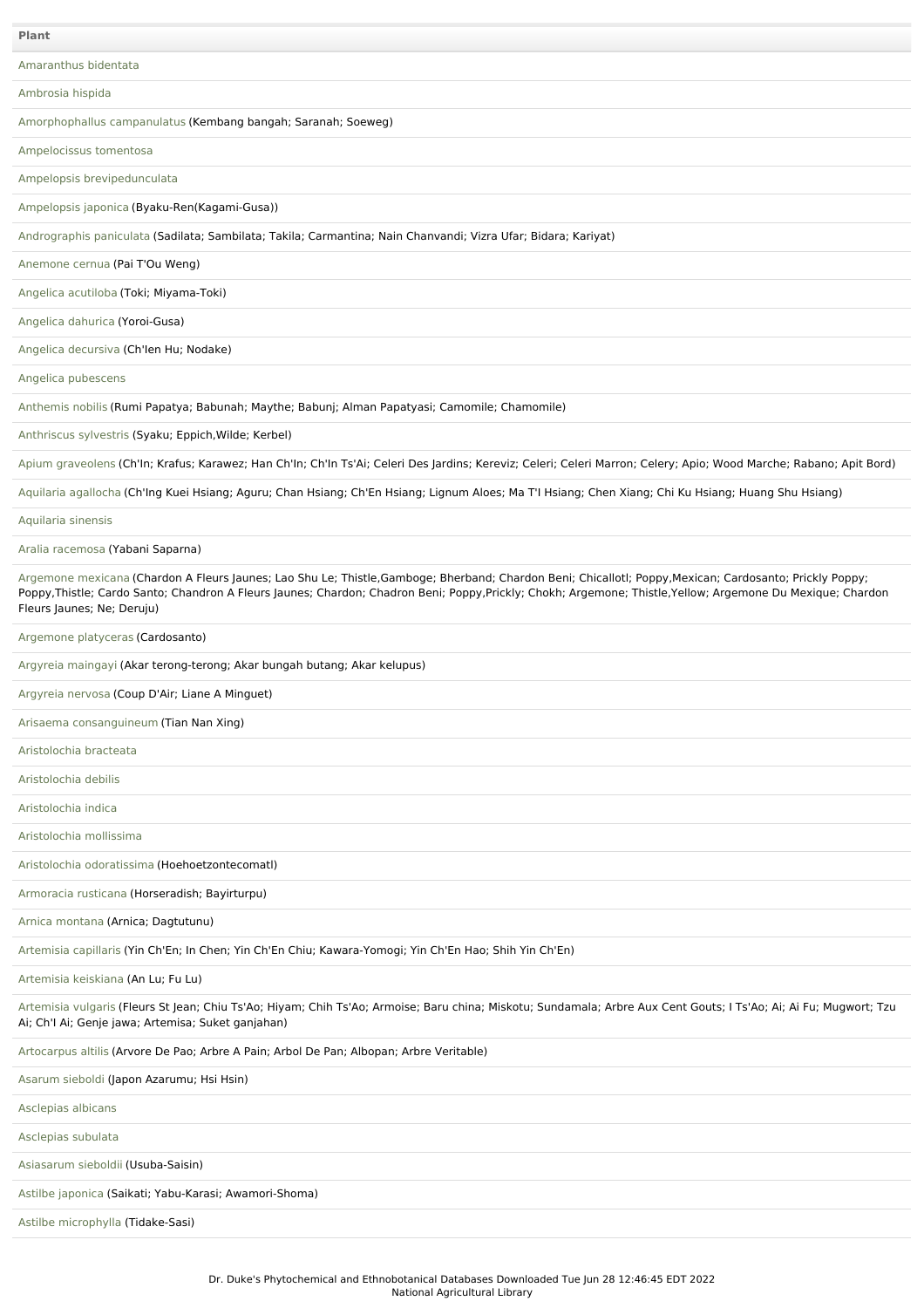[Amaranthus](file:///phytochem/ethnoPlants/show/1385) bidentata [Ambrosia](file:///phytochem/ethnoPlants/show/850) hispida [Amorphophallus](file:///phytochem/ethnoPlants/show/478) campanulatus (Kembang bangah; Saranah; Soeweg) [Ampelocissus](file:///phytochem/ethnoPlants/show/1588) tomentosa Ampelopsis [brevipedunculata](file:///phytochem/ethnoPlants/show/277) [Ampelopsis](file:///phytochem/ethnoPlants/show/1024) japonica (Byaku-Ren(Kagami-Gusa)) [Andrographis](file:///phytochem/ethnoPlants/show/278) paniculata (Sadilata; Sambilata; Takila; Carmantina; Nain Chanvandi; Vizra Ufar; Bidara; Kariyat) [Anemone](file:///phytochem/ethnoPlants/show/16) cernua (Pai T'Ou Weng) Angelica [acutiloba](file:///phytochem/ethnoPlants/show/1589) (Toki; Miyama-Toki) [Angelica](file:///phytochem/ethnoPlants/show/280) dahurica (Yoroi-Gusa) Angelica [decursiva](file:///phytochem/ethnoPlants/show/2326) (Ch'Ien Hu; Nodake) Angelica [pubescens](file:///phytochem/ethnoPlants/show/281) [Anthemis](file:///phytochem/ethnoPlants/show/1590) nobilis (Rumi Papatya; Babunah; Maythe; Babunj; Alman Papatyasi; Camomile; Chamomile) [Anthriscus](file:///phytochem/ethnoPlants/show/5270) sylvestris (Syaku; Eppich,Wilde; Kerbel) Apium [graveolens](file:///phytochem/ethnoPlants/show/1222) (Ch'In; Krafus; Karawez; Han Ch'In; Ch'In Ts'Ai; Celeri Des Jardins; Kereviz; Celeri; Celeri Marron; Celery; Apio; Wood Marche; Rabano; Apit Bord) Aquilaria [agallocha](file:///phytochem/ethnoPlants/show/18) (Ch'Ing Kuei Hsiang; Aguru; Chan Hsiang; Ch'En Hsiang; Lignum Aloes; Ma T'I Hsiang; Chen Xiang; Chi Ku Hsiang; Huang Shu Hsiang) [Aquilaria](file:///phytochem/ethnoPlants/show/4820) sinensis Aralia [racemosa](file:///phytochem/ethnoPlants/show/419) (Yabani Saparna) [Argemone](file:///phytochem/ethnoPlants/show/569) mexicana (Chardon A Fleurs Jaunes; Lao Shu Le; Thistle,Gamboge; Bherband; Chardon Beni; Chicallotl; Poppy,Mexican; Cardosanto; Prickly Poppy; Poppy,Thistle; Cardo Santo; Chandron A Fleurs Jaunes; Chardon; Chadron Beni; Poppy,Prickly; Chokh; Argemone; Thistle,Yellow; Argemone Du Mexique; Chardon Fleurs Jaunes; Ne; Deruju) [Argemone](file:///phytochem/ethnoPlants/show/1591) platyceras (Cardosanto) Argyreia [maingayi](file:///phytochem/ethnoPlants/show/1712) (Akar terong-terong; Akar bungah butang; Akar kelupus) [Argyreia](file:///phytochem/ethnoPlants/show/8237) nervosa (Coup D'Air; Liane A Minguet) Arisaema [consanguineum](file:///phytochem/ethnoPlants/show/285) (Tian Nan Xing) [Aristolochia](file:///phytochem/ethnoPlants/show/19) bracteata [Aristolochia](file:///phytochem/ethnoPlants/show/20) debilis [Aristolochia](file:///phytochem/ethnoPlants/show/3500) indica [Aristolochia](file:///phytochem/ethnoPlants/show/1592) mollissima Aristolochia [odoratissima](file:///phytochem/ethnoPlants/show/3517) (Hoehoetzontecomatl) [Armoracia](file:///phytochem/ethnoPlants/show/1593) rusticana (Horseradish; Bayirturpu) Arnica [montana](file:///phytochem/ethnoPlants/show/4105) (Arnica; Dagtutunu) [Artemisia](file:///phytochem/ethnoPlants/show/1081) capillaris (Yin Ch'En; In Chen; Yin Ch'En Chiu; Kawara-Yomogi; Yin Ch'En Hao; Shih Yin Ch'En) [Artemisia](file:///phytochem/ethnoPlants/show/1389) keiskiana (An Lu; Fu Lu) [Artemisia](file:///phytochem/ethnoPlants/show/1390) vulgaris (Fleurs St Jean; Chiu Ts'Ao; Hiyam; Chih Ts'Ao; Armoise; Baru china; Miskotu; Sundamala; Arbre Aux Cent Gouts; I Ts'Ao; Ai; Ai Fu; Mugwort; Tzu Ai; Ch'I Ai; Genje jawa; Artemisa; Suket ganjahan) [Artocarpus](file:///phytochem/ethnoPlants/show/1594) altilis (Arvore De Pao; Arbre A Pain; Arbol De Pan; Albopan; Arbre Veritable) [Asarum](file:///phytochem/ethnoPlants/show/574) sieboldi (Japon Azarumu; Hsi Hsin) [Asclepias](file:///phytochem/ethnoPlants/show/575) albicans [Asclepias](file:///phytochem/ethnoPlants/show/1595) subulata [Asiasarum](file:///phytochem/ethnoPlants/show/1596) sieboldii (Usuba-Saisin) Astilbe [japonica](file:///phytochem/ethnoPlants/show/1597) (Saikati; Yabu-Karasi; Awamori-Shoma) **Plant**

Astilbe [microphylla](file:///phytochem/ethnoPlants/show/1598) (Tidake-Sasi)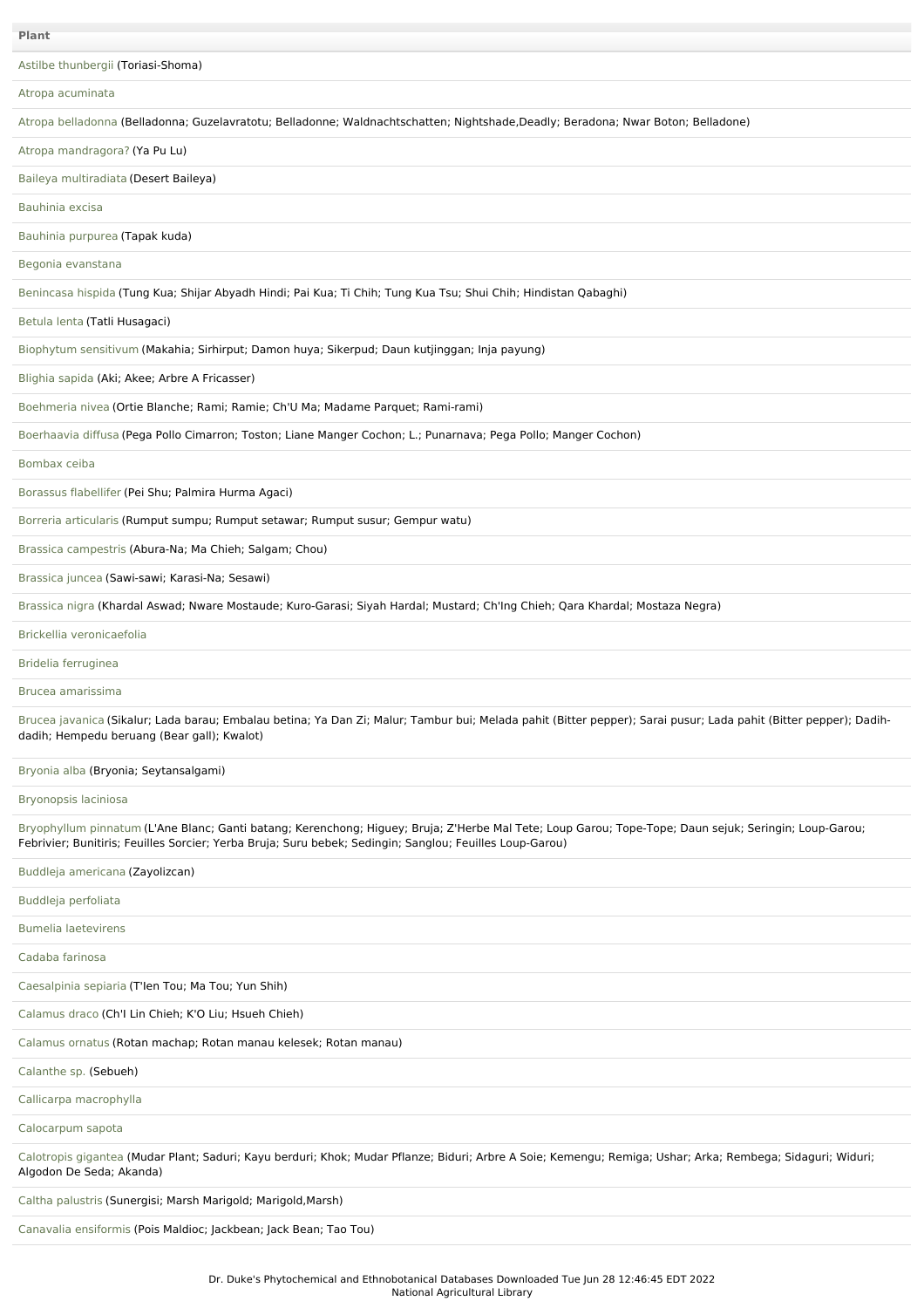| Plant                                                                                                                                                                                                                                                              |
|--------------------------------------------------------------------------------------------------------------------------------------------------------------------------------------------------------------------------------------------------------------------|
| Astilbe thunbergii (Toriasi-Shoma)                                                                                                                                                                                                                                 |
| Atropa acuminata                                                                                                                                                                                                                                                   |
| Atropa belladonna (Belladonna; Guzelavratotu; Belladonne; Waldnachtschatten; Nightshade,Deadly; Beradona; Nwar Boton; Belladone)                                                                                                                                   |
| Atropa mandragora? (Ya Pu Lu)                                                                                                                                                                                                                                      |
| Baileya multiradiata (Desert Baileya)                                                                                                                                                                                                                              |
| Bauhinia excisa                                                                                                                                                                                                                                                    |
| Bauhinia purpurea (Tapak kuda)                                                                                                                                                                                                                                     |
| Begonia evanstana                                                                                                                                                                                                                                                  |
| Benincasa hispida (Tung Kua; Shijar Abyadh Hindi; Pai Kua; Ti Chih; Tung Kua Tsu; Shui Chih; Hindistan Qabaghi)                                                                                                                                                    |
| Betula lenta (Tatli Husagaci)                                                                                                                                                                                                                                      |
| Biophytum sensitivum (Makahia; Sirhirput; Damon huya; Sikerpud; Daun kutjinggan; Inja payung)                                                                                                                                                                      |
| Blighia sapida (Aki; Akee; Arbre A Fricasser)                                                                                                                                                                                                                      |
| Boehmeria nivea (Ortie Blanche; Rami; Ramie; Ch'U Ma; Madame Parquet; Rami-rami)                                                                                                                                                                                   |
| Boerhaavia diffusa (Pega Pollo Cimarron; Toston; Liane Manger Cochon; L.; Punarnava; Pega Pollo; Manger Cochon)                                                                                                                                                    |
| Bombax ceiba                                                                                                                                                                                                                                                       |
| Borassus flabellifer (Pei Shu; Palmira Hurma Agaci)                                                                                                                                                                                                                |
| Borreria articularis (Rumput sumpu; Rumput setawar; Rumput susur; Gempur watu)                                                                                                                                                                                     |
| Brassica campestris (Abura-Na; Ma Chieh; Salgam; Chou)                                                                                                                                                                                                             |
| Brassica juncea (Sawi-sawi; Karasi-Na; Sesawi)                                                                                                                                                                                                                     |
| Brassica nigra (Khardal Aswad; Nware Mostaude; Kuro-Garasi; Siyah Hardal; Mustard; Ch'Ing Chieh; Qara Khardal; Mostaza Negra)                                                                                                                                      |
| Brickellia veronicaefolia                                                                                                                                                                                                                                          |
| Bridelia ferruginea                                                                                                                                                                                                                                                |
| Brucea amarissima                                                                                                                                                                                                                                                  |
| Brucea javanica (Sikalur; Lada barau; Embalau betina; Ya Dan Zi; Malur; Tambur bui; Melada pahit (Bitter pepper); Sarai pusur; Lada pahit (Bitter pepper); Dadih-<br>dadih; Hempedu beruang (Bear gall); Kwalot)                                                   |
| Bryonia alba (Bryonia; Seytansalgami)                                                                                                                                                                                                                              |
| Bryonopsis laciniosa                                                                                                                                                                                                                                               |
| Bryophyllum pinnatum (L'Ane Blanc; Ganti batang; Kerenchong; Higuey; Bruja; Z'Herbe Mal Tete; Loup Garou; Tope-Tope; Daun sejuk; Seringin; Loup-Garou;<br>Febrivier; Bunitiris; Feuilles Sorcier; Yerba Bruja; Suru bebek; Sedingin; Sanglou; Feuilles Loup-Garou) |
| Buddleja americana (Zayolizcan)                                                                                                                                                                                                                                    |
| Buddleja perfoliata                                                                                                                                                                                                                                                |
| <b>Bumelia laetevirens</b>                                                                                                                                                                                                                                         |
| Cadaba farinosa                                                                                                                                                                                                                                                    |
| Caesalpinia sepiaria (T'len Tou; Ma Tou; Yun Shih)                                                                                                                                                                                                                 |
| Calamus draco (Ch'l Lin Chieh; K'O Liu; Hsueh Chieh)                                                                                                                                                                                                               |
| Calamus ornatus (Rotan machap; Rotan manau kelesek; Rotan manau)                                                                                                                                                                                                   |
| Calanthe sp. (Sebueh)                                                                                                                                                                                                                                              |
| Callicarpa macrophylla                                                                                                                                                                                                                                             |
| Calocarpum sapota                                                                                                                                                                                                                                                  |
| Calotropis gigantea (Mudar Plant; Saduri; Kayu berduri; Khok; Mudar Pflanze; Biduri; Arbre A Soie; Kemengu; Remiga; Ushar; Arka; Rembega; Sidaguri; Widuri;<br>Algodon De Seda; Akanda)                                                                            |
| Caltha palustris (Sunergisi; Marsh Marigold; Marigold, Marsh)                                                                                                                                                                                                      |

Canavalia [ensiformis](file:///phytochem/ethnoPlants/show/1612) (Pois Maldioc; Jackbean; Jack Bean; Tao Tou)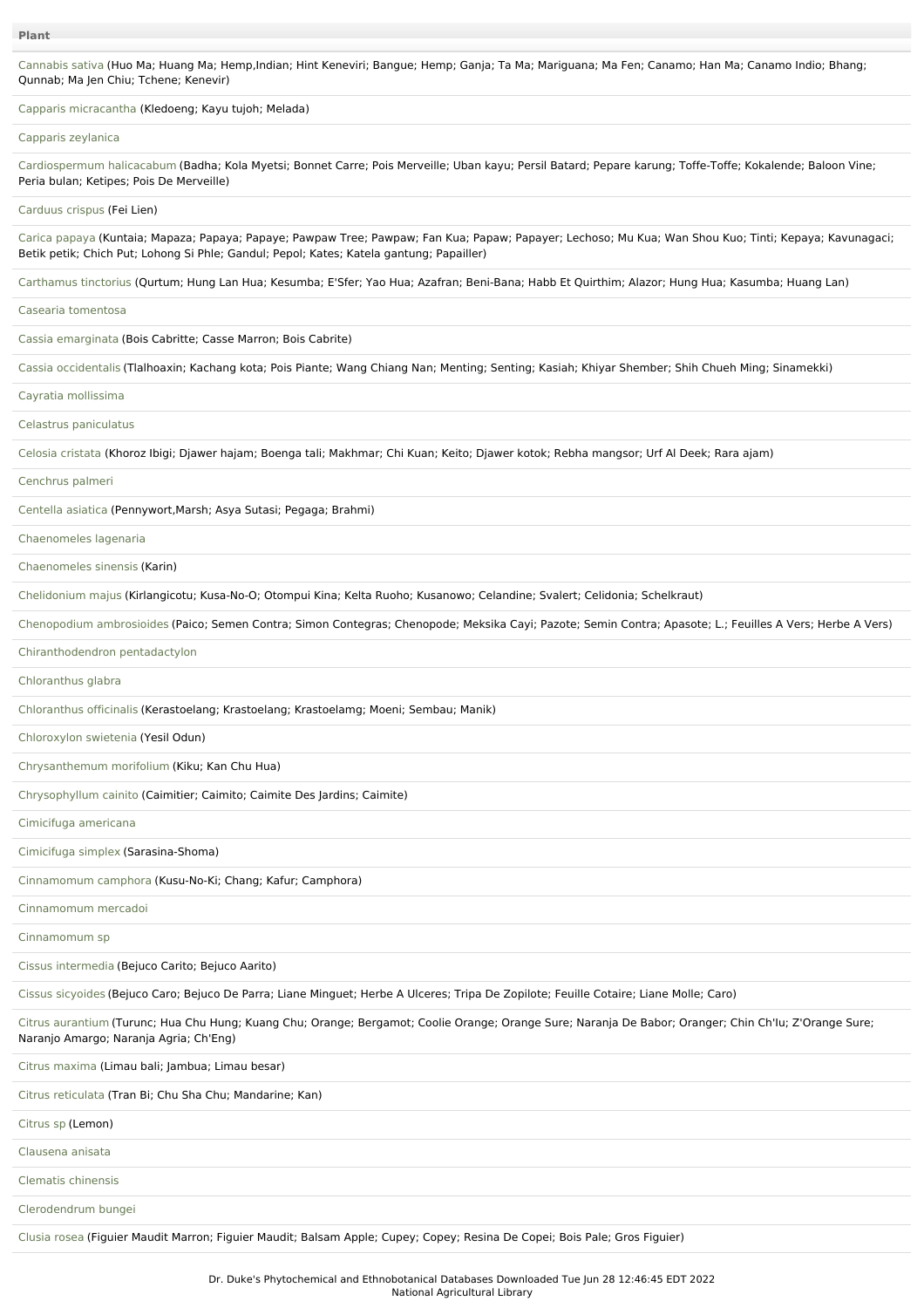[Cannabis](file:///phytochem/ethnoPlants/show/1190) sativa (Huo Ma; Huang Ma; Hemp,Indian; Hint Keneviri; Bangue; Hemp; Ganja; Ta Ma; Mariguana; Ma Fen; Canamo; Han Ma; Canamo Indio; Bhang; Qunnab; Ma Jen Chiu; Tchene; Kenevir)

Capparis [micracantha](file:///phytochem/ethnoPlants/show/1613) (Kledoeng; Kayu tujoh; Melada)

#### Capparis [zeylanica](file:///phytochem/ethnoPlants/show/2098)

[Cardiospermum](file:///phytochem/ethnoPlants/show/293) halicacabum (Badha; Kola Myetsi; Bonnet Carre; Pois Merveille; Uban kayu; Persil Batard; Pepare karung; Toffe-Toffe; Kokalende; Baloon Vine; Peria bulan; Ketipes; Pois De Merveille)

[Carduus](file:///phytochem/ethnoPlants/show/1245) crispus (Fei Lien)

Carica [papaya](file:///phytochem/ethnoPlants/show/149) (Kuntaia; Mapaza; Papaya; Papaye; Pawpaw Tree; Pawpaw; Fan Kua; Papaw; Papayer; Lechoso; Mu Kua; Wan Shou Kuo; Tinti; Kepaya; Kavunagaci; Betik petik; Chich Put; Lohong Si Phle; Gandul; Pepol; Kates; Katela gantung; Papailler)

[Carthamus](file:///phytochem/ethnoPlants/show/1395) tinctorius (Qurtum; Hung Lan Hua; Kesumba; E'Sfer; Yao Hua; Azafran; Beni-Bana; Habb Et Quirthim; Alazor; Hung Hua; Kasumba; Huang Lan)

Casearia [tomentosa](file:///phytochem/ethnoPlants/show/1614)

Cassia [emarginata](file:///phytochem/ethnoPlants/show/1615) (Bois Cabritte; Casse Marron; Bois Cabrite)

Cassia [occidentalis](file:///phytochem/ethnoPlants/show/152) (Tlalhoaxin; Kachang kota; Pois Piante; Wang Chiang Nan; Menting; Senting; Kasiah; Khiyar Shember; Shih Chueh Ming; Sinamekki)

# Cayratia [mollissima](file:///phytochem/ethnoPlants/show/11707)

Celastrus [paniculatus](file:///phytochem/ethnoPlants/show/1518)

[Celosia](file:///phytochem/ethnoPlants/show/34) cristata (Khoroz Ibigi; Djawer hajam; Boenga tali; Makhmar; Chi Kuan; Keito; Djawer kotok; Rebha mangsor; Urf Al Deek; Rara ajam)

[Cenchrus](file:///phytochem/ethnoPlants/show/1616) palmeri

[Centella](file:///phytochem/ethnoPlants/show/1139) asiatica (Pennywort,Marsh; Asya Sutasi; Pegaga; Brahmi)

[Chaenomeles](file:///phytochem/ethnoPlants/show/427) lagenaria

[Chaenomeles](file:///phytochem/ethnoPlants/show/1453) sinensis (Karin)

[Chelidonium](file:///phytochem/ethnoPlants/show/1248) majus (Kirlangicotu; Kusa-No-O; Otompui Kina; Kelta Ruoho; Kusanowo; Celandine; Svalert; Celidonia; Schelkraut)

[Chenopodium](file:///phytochem/ethnoPlants/show/874) ambrosioides (Paico; Semen Contra; Simon Contegras; Chenopode; Meksika Cayi; Pazote; Semin Contra; Apasote; L.; Feuilles A Vers; Herbe A Vers)

[Chiranthodendron](file:///phytochem/ethnoPlants/show/1617) pentadactylon

[Chloranthus](file:///phytochem/ethnoPlants/show/11708) glabra

[Chloranthus](file:///phytochem/ethnoPlants/show/1572) officinalis (Kerastoelang; Krastoelang; Krastoelamg; Moeni; Sembau; Manik)

[Chloroxylon](file:///phytochem/ethnoPlants/show/2976) swietenia (Yesil Odun)

[Chrysanthemum](file:///phytochem/ethnoPlants/show/296) morifolium (Kiku; Kan Chu Hua)

[Chrysophyllum](file:///phytochem/ethnoPlants/show/2978) cainito (Caimitier; Caimito; Caimite Des Jardins; Caimite)

[Cimicifuga](file:///phytochem/ethnoPlants/show/1618) americana

[Cimicifuga](file:///phytochem/ethnoPlants/show/3889) simplex (Sarasina-Shoma)

[Cinnamomum](file:///phytochem/ethnoPlants/show/36) camphora (Kusu-No-Ki; Chang; Kafur; Camphora)

[Cinnamomum](file:///phytochem/ethnoPlants/show/1619) mercadoi

[Cinnamomum](file:///phytochem/ethnoPlants/show/1620) sp

Cissus [intermedia](file:///phytochem/ethnoPlants/show/9780) (Bejuco Carito; Bejuco Aarito)

Cissus [sicyoides](file:///phytochem/ethnoPlants/show/1621) (Bejuco Caro; Bejuco De Parra; Liane Minguet; Herbe A Ulceres; Tripa De Zopilote; Feuille Cotaire; Liane Molle; Caro)

Citrus [aurantium](file:///phytochem/ethnoPlants/show/38) (Turunc; Hua Chu Hung; Kuang Chu; Orange; Bergamot; Coolie Orange; Orange Sure; Naranja De Babor; Oranger; Chin Ch'Iu; Z'Orange Sure; Naranjo Amargo; Naranja Agria; Ch'Eng)

Citrus [maxima](file:///phytochem/ethnoPlants/show/5260) (Limau bali; Jambua; Limau besar)

Citrus [reticulata](file:///phytochem/ethnoPlants/show/1622) (Tran Bi; Chu Sha Chu; Mandarine; Kan)

[Citrus](file:///phytochem/ethnoPlants/show/876) sp (Lemon)

[Clausena](file:///phytochem/ethnoPlants/show/610) anisata

Clematis [chinensis](file:///phytochem/ethnoPlants/show/429)

[Clerodendrum](file:///phytochem/ethnoPlants/show/612) bungei

[Clusia](file:///phytochem/ethnoPlants/show/1623) rosea (Figuier Maudit Marron; Figuier Maudit; Balsam Apple; Cupey; Copey; Resina De Copei; Bois Pale; Gros Figuier)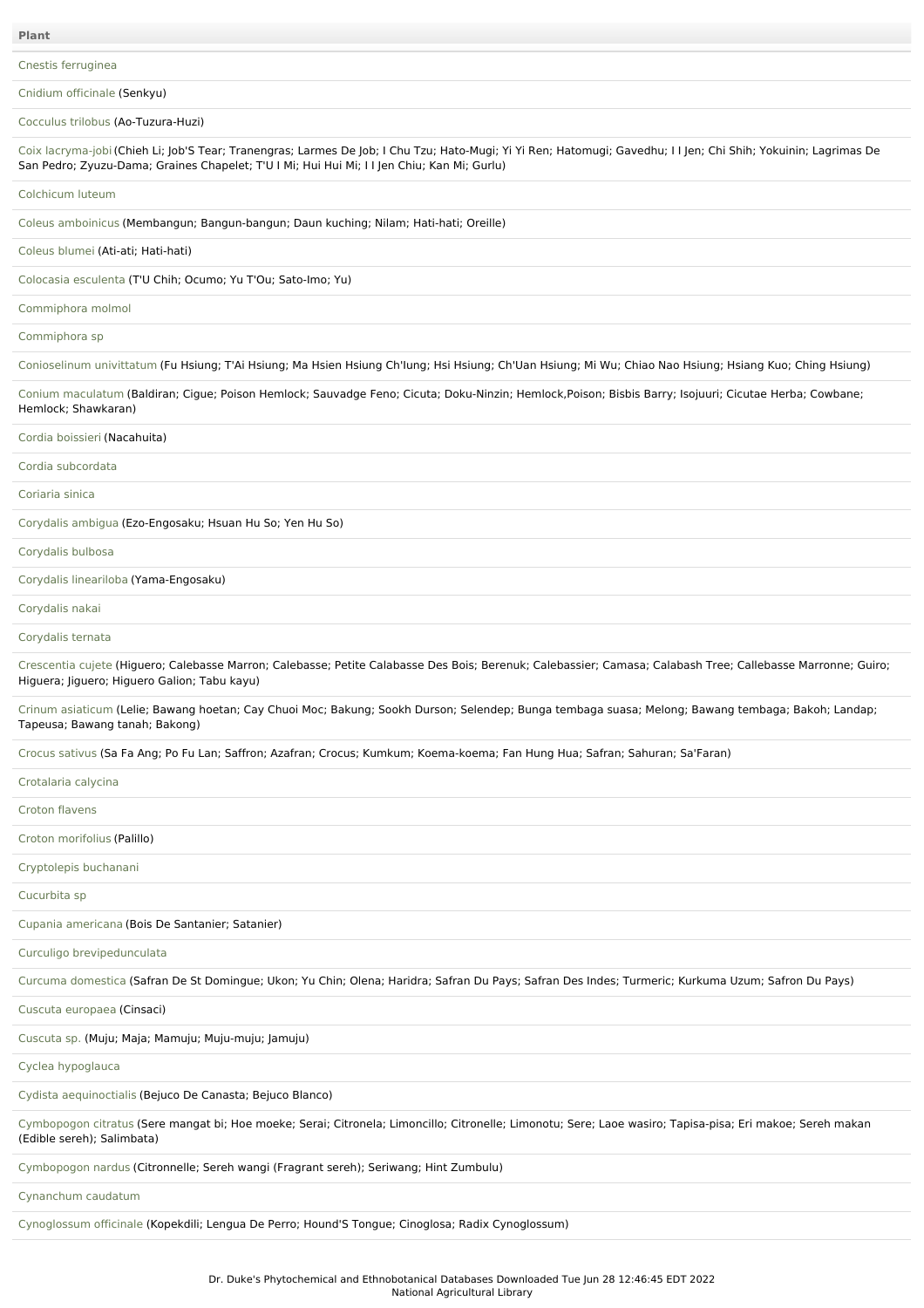Cnestis [ferruginea](file:///phytochem/ethnoPlants/show/158)

Cnidium [officinale](file:///phytochem/ethnoPlants/show/1624) (Senkyu)

[Cocculus](file:///phytochem/ethnoPlants/show/1144) trilobus (Ao-Tuzura-Huzi)

Coix [lacryma-job](file:///phytochem/ethnoPlants/show/300)i(Chieh Li; Job'S Tear; Tranengras; Larmes De Job; I Chu Tzu; Hato-Mugi; Yi Yi Ren; Hatomugi; Gavedhu; I I Jen; Chi Shih; Yokuinin; Lagrimas De San Pedro; Zyuzu-Dama; Graines Chapelet; T'U I Mi; Hui Hui Mi; I I Jen Chiu; Kan Mi; Gurlu)

## [Colchicum](file:///phytochem/ethnoPlants/show/1625) luteum

Coleus [amboinicus](file:///phytochem/ethnoPlants/show/1566) (Membangun; Bangun-bangun; Daun kuching; Nilam; Hati-hati; Oreille)

[Coleus](file:///phytochem/ethnoPlants/show/1626) blumei (Ati-ati; Hati-hati)

[Colocasia](file:///phytochem/ethnoPlants/show/160) esculenta (T'U Chih; Ocumo; Yu T'Ou; Sato-Imo; Yu)

## [Commiphora](file:///phytochem/ethnoPlants/show/2692) molmol

[Commiphora](file:///phytochem/ethnoPlants/show/1627) sp

[Conioselinum](file:///phytochem/ethnoPlants/show/620) univittatum (Fu Hsiung; T'Ai Hsiung; Ma Hsien Hsiung Ch'Iung; Hsi Hsiung; Ch'Uan Hsiung; Mi Wu; Chiao Nao Hsiung; Hsiang Kuo; Ching Hsiung)

Conium [maculatum](file:///phytochem/ethnoPlants/show/2306) (Baldiran; Cigue; Poison Hemlock; Sauvadge Feno; Cicuta; Doku-Ninzin; Hemlock,Poison; Bisbis Barry; Isojuuri; Cicutae Herba; Cowbane; Hemlock; Shawkaran)

### Cordia [boissieri](file:///phytochem/ethnoPlants/show/1628) (Nacahuita)

Cordia [subcordata](file:///phytochem/ethnoPlants/show/1629)

[Coriaria](file:///phytochem/ethnoPlants/show/1510) sinica

[Corydalis](file:///phytochem/ethnoPlants/show/622) ambigua (Ezo-Engosaku; Hsuan Hu So; Yen Hu So)

[Corydalis](file:///phytochem/ethnoPlants/show/1860) bulbosa

Corydalis [lineariloba](file:///phytochem/ethnoPlants/show/1630) (Yama-Engosaku)

[Corydalis](file:///phytochem/ethnoPlants/show/1631) nakai

[Corydalis](file:///phytochem/ethnoPlants/show/41) ternata

[Crescentia](file:///phytochem/ethnoPlants/show/166) cujete (Higuero; Calebasse Marron; Calebasse; Petite Calabasse Des Bois; Berenuk; Calebassier; Camasa; Calabash Tree; Callebasse Marronne; Guiro; Higuera; Jiguero; Higuero Galion; Tabu kayu)

Crinum [asiaticum](file:///phytochem/ethnoPlants/show/1632) (Lelie; Bawang hoetan; Cay Chuoi Moc; Bakung; Sookh Durson; Selendep; Bunga tembaga suasa; Melong; Bawang tembaga; Bakoh; Landap; Tapeusa; Bawang tanah; Bakong)

Crocus [sativus](file:///phytochem/ethnoPlants/show/167) (Sa Fa Ang; Po Fu Lan; Saffron; Azafran; Crocus; Kumkum; Koema-koema; Fan Hung Hua; Safran; Sahuran; Sa'Faran)

| Crotalaria calycina                                                                                                                                                                      |
|------------------------------------------------------------------------------------------------------------------------------------------------------------------------------------------|
| Croton flavens                                                                                                                                                                           |
| Croton morifolius (Palillo)                                                                                                                                                              |
| Cryptolepis buchanani                                                                                                                                                                    |
| Cucurbita sp                                                                                                                                                                             |
| Cupania americana (Bois De Santanier; Satanier)                                                                                                                                          |
| Curculigo brevipedunculata                                                                                                                                                               |
| Curcuma domestica (Safran De St Domingue; Ukon; Yu Chin; Olena; Haridra; Safran Du Pays; Safran Des Indes; Turmeric; Kurkuma Uzum; Safron Du Pays)                                       |
| Cuscuta europaea (Cinsaci)                                                                                                                                                               |
| Cuscuta sp. (Muju; Maja; Mamuju; Muju-muju; Jamuju)                                                                                                                                      |
| Cyclea hypoglauca                                                                                                                                                                        |
| Cydista aequinoctialis (Bejuco De Canasta; Bejuco Blanco)                                                                                                                                |
| Cymbopogon citratus (Sere mangat bi; Hoe moeke; Serai; Citronela; Limoncillo; Citronelle; Limonotu; Sere; Laoe wasiro; Tapisa-pisa; Eri makoe; Sereh makan<br>(Edible sereh); Salimbata) |
| Cymbopogon nardus (Citronnelle; Sereh wangi (Fragrant sereh); Seriwang; Hint Zumbulu)                                                                                                    |
| Cynanchum caudatum                                                                                                                                                                       |
| Cynoglossum officinale (Kopekdili; Lengua De Perro; Hound'S Tongue; Cinoglosa; Radix Cynoglossum)                                                                                        |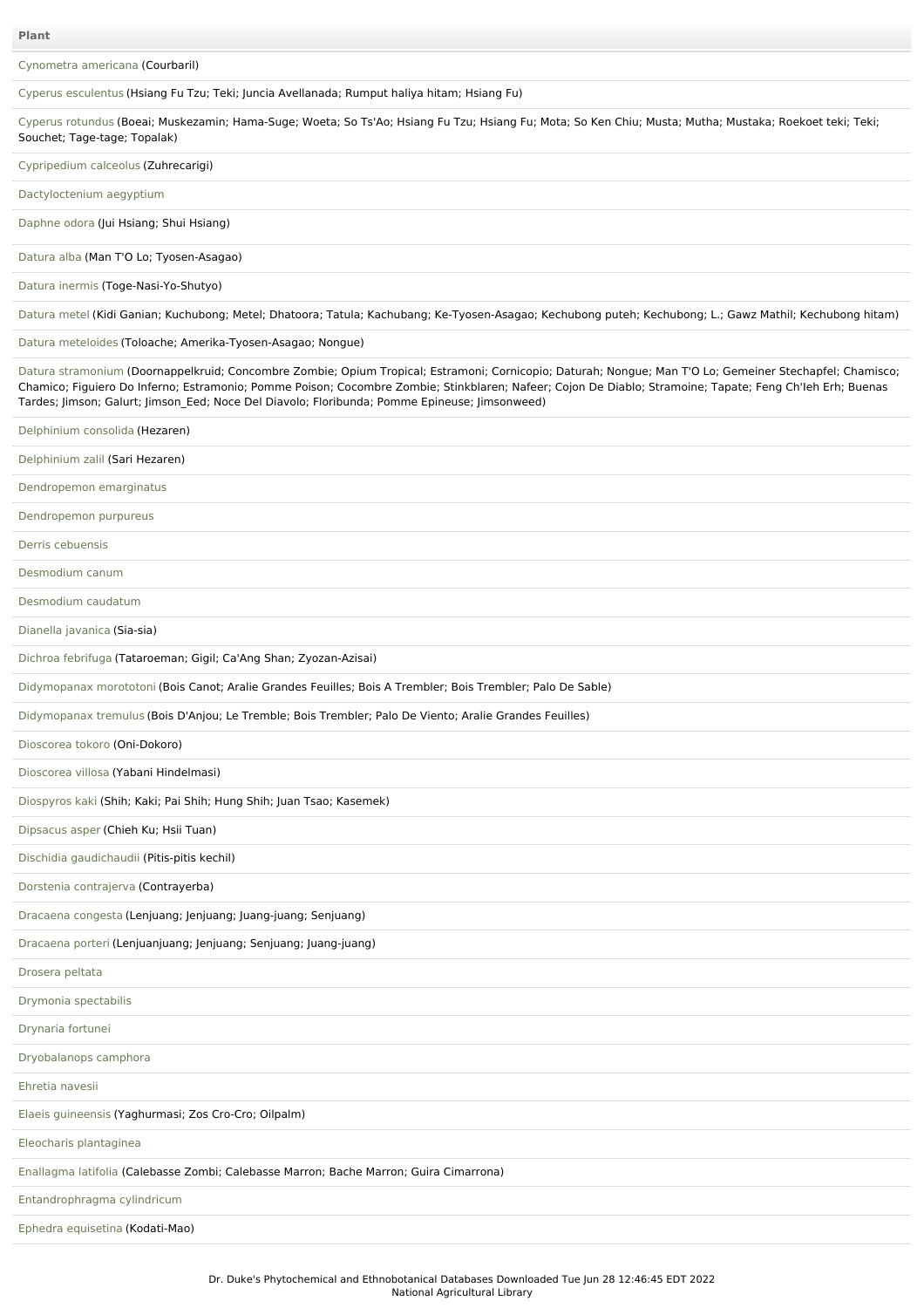[Cynometra](file:///phytochem/ethnoPlants/show/4625) americana (Courbaril)

Cyperus [esculentus](file:///phytochem/ethnoPlants/show/304) (Hsiang Fu Tzu; Teki; Juncia Avellanada; Rumput haliya hitam; Hsiang Fu)

Cyperus [rotundus](file:///phytochem/ethnoPlants/show/44) (Boeai; Muskezamin; Hama-Suge; Woeta; So Ts'Ao; Hsiang Fu Tzu; Hsiang Fu; Mota; So Ken Chiu; Musta; Mutha; Mustaka; Roekoet teki; Teki; Souchet; Tage-tage; Topalak)

[Cypripedium](file:///phytochem/ethnoPlants/show/630) calceolus (Zuhrecarigi)

[Dactyloctenium](file:///phytochem/ethnoPlants/show/1402) aegyptium

[Daphne](file:///phytochem/ethnoPlants/show/432) odora (Jui Hsiang; Shui Hsiang)

# [Datura](file:///phytochem/ethnoPlants/show/1641) alba (Man T'O Lo; Tyosen-Asagao)

Datura [inermis](file:///phytochem/ethnoPlants/show/1642) (Toge-Nasi-Yo-Shutyo)

[Datura](file:///phytochem/ethnoPlants/show/632) metel (Kidi Ganian; Kuchubong; Metel; Dhatoora; Tatula; Kachubang; Ke-Tyosen-Asagao; Kechubong puteh; Kechubong; L.; Gawz Mathil; Kechubong hitam)

# Datura [meteloides](file:///phytochem/ethnoPlants/show/2308) (Toloache; Amerika-Tyosen-Asagao; Nongue)

Datura [stramonium](file:///phytochem/ethnoPlants/show/497) (Doornappelkruid; Concombre Zombie; Opium Tropical; Estramoni; Cornicopio; Daturah; Nongue; Man T'O Lo; Gemeiner Stechapfel; Chamisco; Chamico; Figuiero Do Inferno; Estramonio; Pomme Poison; Cocombre Zombie; Stinkblaren; Nafeer; Cojon De Diablo; Stramoine; Tapate; Feng Ch'Ieh Erh; Buenas Tardes; Jimson; Galurt; Jimson\_Eed; Noce Del Diavolo; Floribunda; Pomme Epineuse; Jimsonweed)

| Delphinium consolida (Hezaren)                                                                              |
|-------------------------------------------------------------------------------------------------------------|
| Delphinium zalil (Sari Hezaren)                                                                             |
| Dendropemon emarginatus                                                                                     |
| Dendropemon purpureus                                                                                       |
| Derris cebuensis                                                                                            |
| Desmodium canum                                                                                             |
| Desmodium caudatum                                                                                          |
| Dianella javanica (Sia-sia)                                                                                 |
| Dichroa febrifuga (Tataroeman; Gigil; Ca'Ang Shan; Zyozan-Azisai)                                           |
| Didymopanax morototoni (Bois Canot; Aralie Grandes Feuilles; Bois A Trembler; Bois Trembler; Palo De Sable) |
| Didymopanax tremulus (Bois D'Anjou; Le Tremble; Bois Trembler; Palo De Viento; Aralie Grandes Feuilles)     |
| Dioscorea tokoro (Oni-Dokoro)                                                                               |
| Dioscorea villosa (Yabani Hindelmasi)                                                                       |
| Diospyros kaki (Shih; Kaki; Pai Shih; Hung Shih; Juan Tsao; Kasemek)                                        |
| Dipsacus asper (Chieh Ku; Hsii Tuan)                                                                        |
| Dischidia gaudichaudii (Pitis-pitis kechil)                                                                 |
| Dorstenia contrajerva (Contrayerba)                                                                         |
| Dracaena congesta (Lenjuang; Jenjuang; Juang-juang; Senjuang)                                               |
| Dracaena porteri (Lenjuanjuang; Jenjuang; Senjuang; Juang-juang)                                            |
| Drosera peltata                                                                                             |
| Drymonia spectabilis                                                                                        |
| Drynaria fortunei                                                                                           |
| Dryobalanops camphora                                                                                       |
| Ehretia navesii                                                                                             |
| Elaeis guineensis (Yaghurmasi; Zos Cro-Cro; Oilpalm)                                                        |
| Eleocharis plantaginea                                                                                      |
| Enallagma latifolia (Calebasse Zombi; Calebasse Marron; Bache Marron; Guira Cimarrona)                      |
| Entandrophragma cylindricum                                                                                 |
| Ephedra equisetina (Kodati-Mao)                                                                             |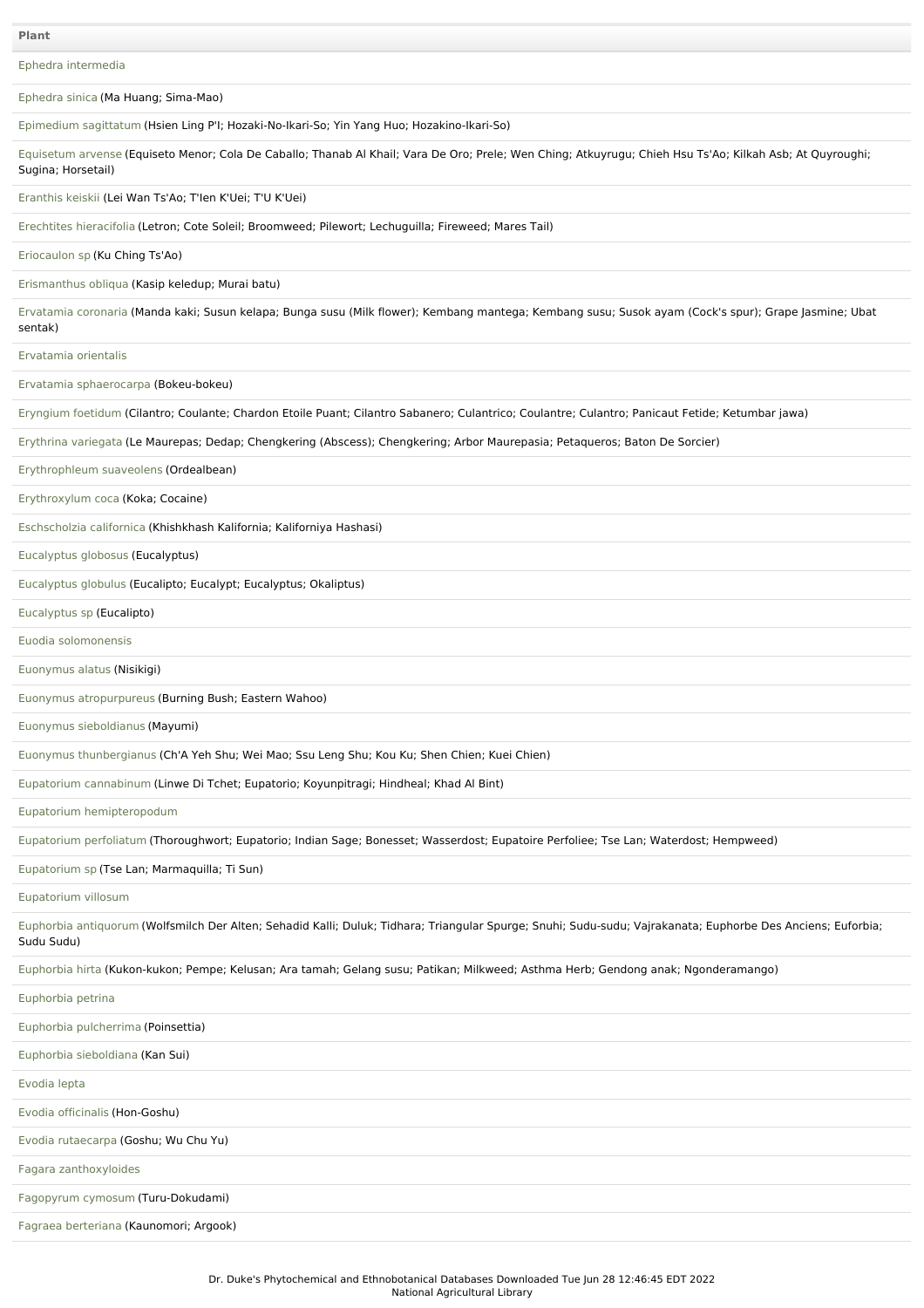**Plant**

Ephedra [intermedia](file:///phytochem/ethnoPlants/show/1063)

[Ephedra](file:///phytochem/ethnoPlants/show/2331) sinica (Ma Huang; Sima-Mao)

[Epimedium](file:///phytochem/ethnoPlants/show/1657) sagittatum (Hsien Ling P'I; Hozaki-No-Ikari-So; Yin Yang Huo; Hozakino-Ikari-So)

[Equisetum](file:///phytochem/ethnoPlants/show/1115) arvense (Equiseto Menor; Cola De Caballo; Thanab Al Khail; Vara De Oro; Prele; Wen Ching; Atkuyrugu; Chieh Hsu Ts'Ao; Kilkah Asb; At Quyroughi; Sugina; Horsetail)

[Eranthis](file:///phytochem/ethnoPlants/show/1570) keiskii (Lei Wan Ts'Ao; T'Ien K'Uei; T'U K'Uei)

Erechtites [hieracifolia](file:///phytochem/ethnoPlants/show/1268) (Letron; Cote Soleil; Broomweed; Pilewort; Lechuguilla; Fireweed; Mares Tail)

[Eriocaulon](file:///phytochem/ethnoPlants/show/1658) sp (Ku Ching Ts'Ao)

[Erismanthus](file:///phytochem/ethnoPlants/show/412) obliqua (Kasip keledup; Murai batu)

[Ervatamia](file:///phytochem/ethnoPlants/show/5261) coronaria (Manda kaki; Susun kelapa; Bunga susu (Milk flower); Kembang mantega; Kembang susu; Susok ayam (Cock's spur); Grape Jasmine; Ubat sentak)

[Ervatamia](file:///phytochem/ethnoPlants/show/1659) orientalis

Ervatamia [sphaerocarpa](file:///phytochem/ethnoPlants/show/9468) (Bokeu-bokeu)

[Eryngium](file:///phytochem/ethnoPlants/show/1660) foetidum (Cilantro; Coulante; Chardon Etoile Puant; Cilantro Sabanero; Culantrico; Coulantre; Culantro; Panicaut Fetide; Ketumbar jawa)

Erythrina [variegata](file:///phytochem/ethnoPlants/show/313) (Le Maurepas; Dedap; Chengkering (Abscess); Chengkering; Arbor Maurepasia; Petaqueros; Baton De Sorcier)

[Erythrophleum](file:///phytochem/ethnoPlants/show/1661) suaveolens (Ordealbean)

[Erythroxylum](file:///phytochem/ethnoPlants/show/1538) coca (Koka; Cocaine)

[Eschscholzia](file:///phytochem/ethnoPlants/show/1458) californica (Khishkhash Kalifornia; Kaliforniya Hashasi)

[Eucalyptus](file:///phytochem/ethnoPlants/show/1662) globosus (Eucalyptus)

[Eucalyptus](file:///phytochem/ethnoPlants/show/2105) globulus (Eucalipto; Eucalypt; Eucalyptus; Okaliptus)

## [Eucalyptus](file:///phytochem/ethnoPlants/show/437) sp (Eucalipto)

Euodia [solomonensis](file:///phytochem/ethnoPlants/show/646)

[Euonymus](file:///phytochem/ethnoPlants/show/1460) alatus (Nisikigi)

Euonymus [atropurpureus](file:///phytochem/ethnoPlants/show/1663) (Burning Bush; Eastern Wahoo)

Euonymus [sieboldianus](file:///phytochem/ethnoPlants/show/1664) (Mayumi)

Euonymus [thunbergianus](file:///phytochem/ethnoPlants/show/3029) (Ch'A Yeh Shu; Wei Mao; Ssu Leng Shu; Kou Ku; Shen Chien; Kuei Chien)

Eupatorium [cannabinum](file:///phytochem/ethnoPlants/show/1269) (Linwe Di Tchet; Eupatorio; Koyunpitragi; Hindheal; Khad Al Bint)

Eupatorium [hemipteropodum](file:///phytochem/ethnoPlants/show/1665)

[Eupatorium](file:///phytochem/ethnoPlants/show/1666) perfoliatum (Thoroughwort; Eupatorio; Indian Sage; Bonesset; Wasserdost; Eupatoire Perfoliee; Tse Lan; Waterdost; Hempweed)

[Eupatorium](file:///phytochem/ethnoPlants/show/1667) sp (Tse Lan; Marmaquilla; Ti Sun)

[Eupatorium](file:///phytochem/ethnoPlants/show/5967) villosum

Euphorbia [antiquorum](file:///phytochem/ethnoPlants/show/1498) (Wolfsmilch Der Alten; Sehadid Kalli; Duluk; Tidhara; Triangular Spurge; Snuhi; Sudu-sudu; Vajrakanata; Euphorbe Des Anciens; Euforbia; Sudu Sudu)

[Euphorbia](file:///phytochem/ethnoPlants/show/649) hirta (Kukon-kukon; Pempe; Kelusan; Ara tamah; Gelang susu; Patikan; Milkweed; Asthma Herb; Gendong anak; Ngonderamango)

| Euphorbia petrina                      |
|----------------------------------------|
| Euphorbia pulcherrima (Poinsettia)     |
| Euphorbia sieboldiana (Kan Sui)        |
| Evodia lepta                           |
| Evodia officinalis (Hon-Goshu)         |
| Evodia rutaecarpa (Goshu; Wu Chu Yu)   |
| Fagara zanthoxyloides                  |
| Fagopyrum cymosum (Turu-Dokudami)      |
| Fagraea berteriana (Kaunomori; Argook) |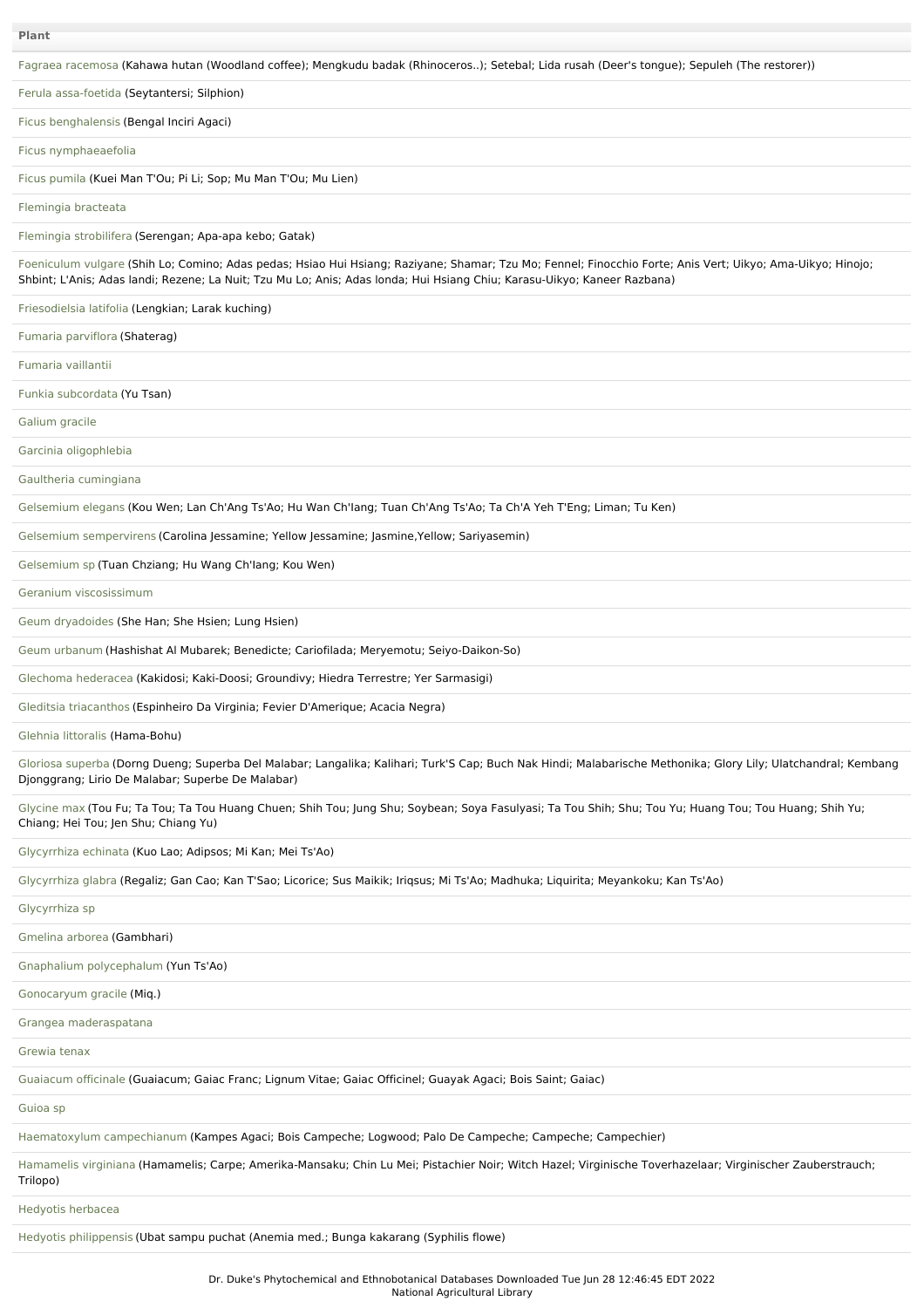|  |  |  | Fagraea racemosa (Kahawa hutan (Woodland coffee); Mengkudu badak (Rhinoceros); Setebal; Lida rusah (Deer's tongue); Sepuleh (The restorer)) |  |
|--|--|--|---------------------------------------------------------------------------------------------------------------------------------------------|--|
|  |  |  |                                                                                                                                             |  |
|  |  |  |                                                                                                                                             |  |
|  |  |  |                                                                                                                                             |  |

Ferula [assa-foetida](file:///phytochem/ethnoPlants/show/2310) (Seytantersi; Silphion)

Ficus [benghalensis](file:///phytochem/ethnoPlants/show/318) (Bengal Inciri Agaci)

Ficus [nymphaeaefolia](file:///phytochem/ethnoPlants/show/1672)

Ficus [pumila](file:///phytochem/ethnoPlants/show/1673) (Kuei Man T'Ou; Pi Li; Sop; Mu Man T'Ou; Mu Lien)

[Flemingia](file:///phytochem/ethnoPlants/show/1674) bracteata

Flemingia [strobilifera](file:///phytochem/ethnoPlants/show/1675) (Serengan; Apa-apa kebo; Gatak)

[Foeniculum](file:///phytochem/ethnoPlants/show/55) vulgare (Shih Lo; Comino; Adas pedas; Hsiao Hui Hsiang; Raziyane; Shamar; Tzu Mo; Fennel; Finocchio Forte; Anis Vert; Uikyo; Ama-Uikyo; Hinojo; Shbint; L'Anis; Adas landi; Rezene; La Nuit; Tzu Mu Lo; Anis; Adas londa; Hui Hsiang Chiu; Karasu-Uikyo; Kaneer Razbana)

[Friesodielsia](file:///phytochem/ethnoPlants/show/1743) latifolia (Lengkian; Larak kuching)

Fumaria [parviflora](file:///phytochem/ethnoPlants/show/1676) (Shaterag)

[Fumaria](file:///phytochem/ethnoPlants/show/1677) vaillantii

Funkia [subcordata](file:///phytochem/ethnoPlants/show/1678) (Yu Tsan)

[Galium](file:///phytochem/ethnoPlants/show/323) gracile

Garcinia [oligophlebia](file:///phytochem/ethnoPlants/show/1679)

Gaultheria [cumingiana](file:///phytochem/ethnoPlants/show/439)

[Gelsemium](file:///phytochem/ethnoPlants/show/1680) elegans (Kou Wen; Lan Ch'Ang Ts'Ao; Hu Wan Ch'Iang; Tuan Ch'Ang Ts'Ao; Ta Ch'A Yeh T'Eng; Liman; Tu Ken)

Gelsemium [sempervirens](file:///phytochem/ethnoPlants/show/907) (Carolina Jessamine; Yellow Jessamine; Jasmine,Yellow; Sariyasemin)

[Gelsemium](file:///phytochem/ethnoPlants/show/1681) sp (Tuan Chziang; Hu Wang Ch'Iang; Kou Wen)

Geranium [viscosissimum](file:///phytochem/ethnoPlants/show/1682)

Geum [dryadoides](file:///phytochem/ethnoPlants/show/2022) (She Han; She Hsien; Lung Hsien)

Geum [urbanum](file:///phytochem/ethnoPlants/show/1094) (Hashishat Al Mubarek; Benedicte; Cariofilada; Meryemotu; Seiyo-Daikon-So)

Glechoma [hederacea](file:///phytochem/ethnoPlants/show/441) (Kakidosi; Kaki-Doosi; Groundivy; Hiedra Terrestre; Yer Sarmasigi)

Gleditsia [triacanthos](file:///phytochem/ethnoPlants/show/1683) (Espinheiro Da Virginia; Fevier D'Amerique; Acacia Negra)

Glehnia [littoralis](file:///phytochem/ethnoPlants/show/1684) (Hama-Bohu)

[Gloriosa](file:///phytochem/ethnoPlants/show/182) superba (Dorng Dueng; Superba Del Malabar; Langalika; Kalihari; Turk'S Cap; Buch Nak Hindi; Malabarische Methonika; Glory Lily; Ulatchandral; Kembang Djonggrang; Lirio De Malabar; Superbe De Malabar)

[Glycine](file:///phytochem/ethnoPlants/show/183) max (Tou Fu; Ta Tou; Ta Tou Huang Chuen; Shih Tou; Jung Shu; Soybean; Soya Fasulyasi; Ta Tou Shih; Shu; Tou Yu; Huang Tou; Tou Huang; Shih Yu; Chiang; Hei Tou; Jen Shu; Chiang Yu)

[Glycyrrhiza](file:///phytochem/ethnoPlants/show/1277) echinata (Kuo Lao; Adipsos; Mi Kan; Mei Ts'Ao)

[Glycyrrhiza](file:///phytochem/ethnoPlants/show/1033) glabra (Regaliz; Gan Cao; Kan T'Sao; Licorice; Sus Maikik; Iriqsus; Mi Ts'Ao; Madhuka; Liquirita; Meyankoku; Kan Ts'Ao)

[Glycyrrhiza](file:///phytochem/ethnoPlants/show/4204) sp

[Gmelina](file:///phytochem/ethnoPlants/show/1501) arborea (Gambhari)

Gnaphalium [polycephalum](file:///phytochem/ethnoPlants/show/1685) (Yun Ts'Ao)

[Gonocaryum](file:///phytochem/ethnoPlants/show/11237) gracile (Miq.)

Grangea [maderaspatana](file:///phytochem/ethnoPlants/show/511)

[Grewia](file:///phytochem/ethnoPlants/show/1686) tenax

[Guaiacum](file:///phytochem/ethnoPlants/show/1280) officinale (Guaiacum; Gaiac Franc; Lignum Vitae; Gaiac Officinel; Guayak Agaci; Bois Saint; Gaiac)

[Guioa](file:///phytochem/ethnoPlants/show/11710) sp

[Haematoxylum](file:///phytochem/ethnoPlants/show/1687) campechianum (Kampes Agaci; Bois Campeche; Logwood; Palo De Campeche; Campeche; Campechier)

[Hamamelis](file:///phytochem/ethnoPlants/show/443) virginiana (Hamamelis; Carpe; Amerika-Mansaku; Chin Lu Mei; Pistachier Noir; Witch Hazel; Virginische Toverhazelaar; Virginischer Zauberstrauch; Trilopo)

Hedyotis [herbacea](file:///phytochem/ethnoPlants/show/1688)

Hedyotis [philippensis](file:///phytochem/ethnoPlants/show/1689) (Ubat sampu puchat (Anemia med.; Bunga kakarang (Syphilis flowe)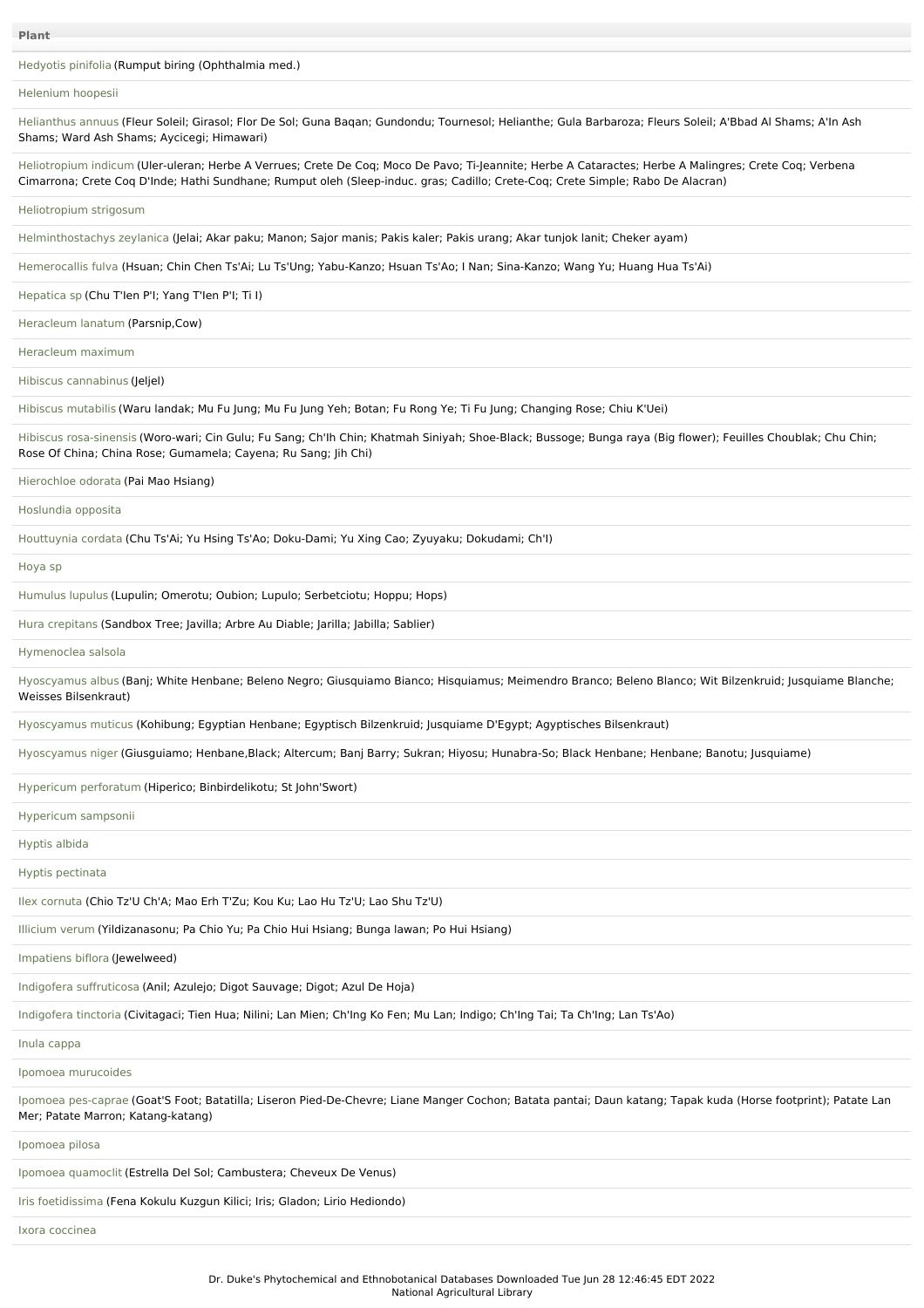[Hedyotis](file:///phytochem/ethnoPlants/show/11246) pinifolia (Rumput biring (Ophthalmia med.)

## [Helenium](file:///phytochem/ethnoPlants/show/918) hoopesii

[Helianthus](file:///phytochem/ethnoPlants/show/1071) annuus (Fleur Soleil; Girasol; Flor De Sol; Guna Baqan; Gundondu; Tournesol; Helianthe; Gula Barbaroza; Fleurs Soleil; A'Bbad Al Shams; A'In Ash Shams; Ward Ash Shams; Aycicegi; Himawari) [Heliotropium](file:///phytochem/ethnoPlants/show/189) indicum (Uler-uleran; Herbe A Verrues; Crete De Coq; Moco De Pavo; Ti-Jeannite; Herbe A Cataractes; Herbe A Malingres; Crete Coq; Verbena Cimarrona; Crete Coq D'Inde; Hathi Sundhane; Rumput oleh (Sleep-induc. gras; Cadillo; Crete-Coq; Crete Simple; Rabo De Alacran) [Heliotropium](file:///phytochem/ethnoPlants/show/1690) strigosum [Helminthostachys](file:///phytochem/ethnoPlants/show/1691) zeylanica (Jelai; Akar paku; Manon; Sajor manis; Pakis kaler; Pakis urang; Akar tunjok lanit; Cheker ayam) [Hemerocallis](file:///phytochem/ethnoPlants/show/6216) fulva (Hsuan; Chin Chen Ts'Ai; Lu Ts'Ung; Yabu-Kanzo; Hsuan Ts'Ao; I Nan; Sina-Kanzo; Wang Yu; Huang Hua Ts'Ai) [Hepatica](file:///phytochem/ethnoPlants/show/1553) sp (Chu T'Ien P'I; Yang T'Ien P'I; Ti I) [Heracleum](file:///phytochem/ethnoPlants/show/556) lanatum (Parsnip,Cow) [Heracleum](file:///phytochem/ethnoPlants/show/2814) maximum

Hibiscus [cannabinus](file:///phytochem/ethnoPlants/show/2395) (Jeljel)

Hibiscus [mutabilis](file:///phytochem/ethnoPlants/show/328) (Waru landak; Mu Fu Jung; Mu Fu Jung Yeh; Botan; Fu Rong Ye; Ti Fu Jung; Changing Rose; Chiu K'Uei)

Hibiscus [rosa-sinensis](file:///phytochem/ethnoPlants/show/190) (Woro-wari; Cin Gulu; Fu Sang; Ch'Ih Chin; Khatmah Siniyah; Shoe-Black; Bussoge; Bunga raya (Big flower); Feuilles Choublak; Chu Chin; Rose Of China; China Rose; Gumamela; Cayena; Ru Sang; Jih Chi)

[Hierochloe](file:///phytochem/ethnoPlants/show/5004) odorata (Pai Mao Hsiang)

[Hoslundia](file:///phytochem/ethnoPlants/show/3554) opposita

[Houttuynia](file:///phytochem/ethnoPlants/show/330) cordata (Chu Ts'Ai; Yu Hsing Ts'Ao; Doku-Dami; Yu Xing Cao; Zyuyaku; Dokudami; Ch'I)

[Hoya](file:///phytochem/ethnoPlants/show/1692) sp

[Humulus](file:///phytochem/ethnoPlants/show/1483) lupulus (Lupulin; Omerotu; Oubion; Lupulo; Serbetciotu; Hoppu; Hops)

Hura [crepitans](file:///phytochem/ethnoPlants/show/1693) (Sandbox Tree; Javilla; Arbre Au Diable; Jarilla; Jabilla; Sablier)

[Hymenoclea](file:///phytochem/ethnoPlants/show/1694) salsola

[Hyoscyamus](file:///phytochem/ethnoPlants/show/1695) albus (Banj; White Henbane; Beleno Negro; Giusquiamo Bianco; Hisquiamus; Meimendro Branco; Beleno Blanco; Wit Bilzenkruid; Jusquiame Blanche; Weisses Bilsenkraut)

[Hyoscyamus](file:///phytochem/ethnoPlants/show/1696) muticus (Kohibung; Egyptian Henbane; Egyptisch Bilzenkruid; Jusquiame D'Egypt; Agyptisches Bilsenkraut)

[Hyoscyamus](file:///phytochem/ethnoPlants/show/1125) niger (Giusguiamo; Henbane,Black; Altercum; Banj Barry; Sukran; Hiyosu; Hunabra-So; Black Henbane; Henbane; Banotu; Jusquiame)

Hypericum [perforatum](file:///phytochem/ethnoPlants/show/191) (Hiperico; Binbirdelikotu; St John'Swort)

[Hypericum](file:///phytochem/ethnoPlants/show/3555) sampsonii

[Hyptis](file:///phytochem/ethnoPlants/show/514) albida

Hyptis [pectinata](file:///phytochem/ethnoPlants/show/1697)

Ilex [cornuta](file:///phytochem/ethnoPlants/show/192) (Chio Tz'U Ch'A; Mao Erh T'Zu; Kou Ku; Lao Hu Tz'U; Lao Shu Tz'U)

[Illicium](file:///phytochem/ethnoPlants/show/1698) verum (Yildizanasonu; Pa Chio Yu; Pa Chio Hui Hsiang; Bunga lawan; Po Hui Hsiang)

[Impatiens](file:///phytochem/ethnoPlants/show/1699) biflora (Jewelweed)

Indigofera [suffruticosa](file:///phytochem/ethnoPlants/show/444) (Anil; Azulejo; Digot Sauvage; Digot; Azul De Hoja)

[Indigofera](file:///phytochem/ethnoPlants/show/1042) tinctoria (Civitagaci; Tien Hua; Nilini; Lan Mien; Ch'Ing Ko Fen; Mu Lan; Indigo; Ch'Ing Tai; Ta Ch'Ing; Lan Ts'Ao)

Inula [cappa](file:///phytochem/ethnoPlants/show/445)

Ipomoea [murucoides](file:///phytochem/ethnoPlants/show/1700)

Ipomoea [pes-caprae](file:///phytochem/ethnoPlants/show/3068) (Goat'S Foot; Batatilla; Liseron Pied-De-Chevre; Liane Manger Cochon; Batata pantai; Daun katang; Tapak kuda (Horse footprint); Patate Lan Mer; Patate Marron; Katang-katang)

[Ipomoea](file:///phytochem/ethnoPlants/show/63) pilosa

Ipomoea [quamoclit](file:///phytochem/ethnoPlants/show/1701) (Estrella Del Sol; Cambustera; Cheveux De Venus)

Iris [foetidissima](file:///phytochem/ethnoPlants/show/1702) (Fena Kokulu Kuzgun Kilici; Iris; Gladon; Lirio Hediondo)

Ixora [coccinea](file:///phytochem/ethnoPlants/show/680)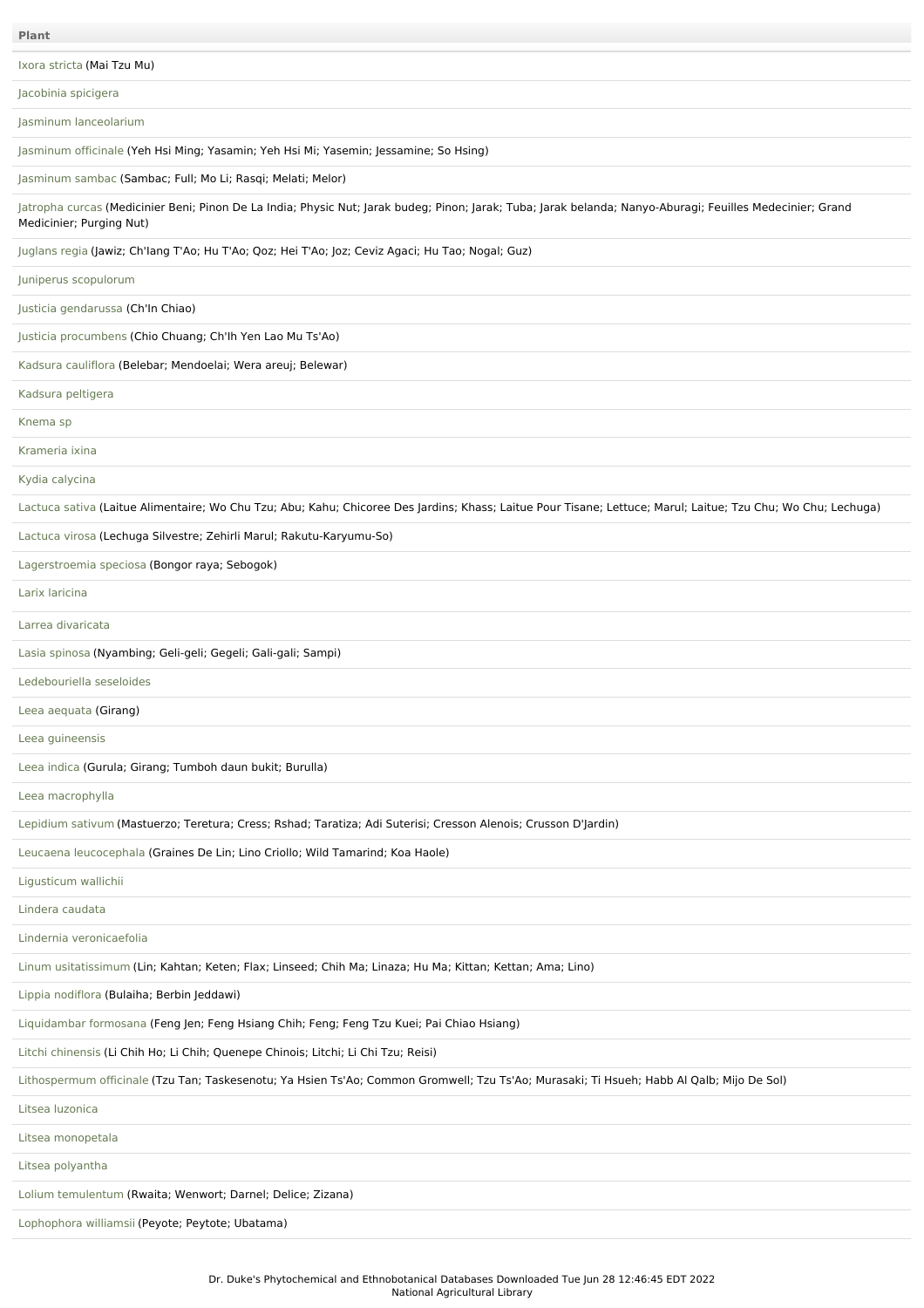[Jacobinia](file:///phytochem/ethnoPlants/show/1703) spicigera

Jasminum [lanceolarium](file:///phytochem/ethnoPlants/show/64)

[Jasminum](file:///phytochem/ethnoPlants/show/65) officinale (Yeh Hsi Ming; Yasamin; Yeh Hsi Mi; Yasemin; Jessamine; So Hsing)

[Jasminum](file:///phytochem/ethnoPlants/show/685) sambac (Sambac; Full; Mo Li; Rasqi; Melati; Melor)

[Jatropha](file:///phytochem/ethnoPlants/show/193) curcas (Medicinier Beni; Pinon De La India; Physic Nut; Jarak budeg; Pinon; Jarak; Tuba; Jarak belanda; Nanyo-Aburagi; Feuilles Medecinier; Grand Medicinier; Purging Nut)

[Juglans](file:///phytochem/ethnoPlants/show/446) regia (Jawiz; Ch'Iang T'Ao; Hu T'Ao; Qoz; Hei T'Ao; Joz; Ceviz Agaci; Hu Tao; Nogal; Guz)

Juniperus [scopulorum](file:///phytochem/ethnoPlants/show/1704)

Justicia [gendarussa](file:///phytochem/ethnoPlants/show/516) (Ch'In Chiao)

Justicia [procumbens](file:///phytochem/ethnoPlants/show/447) (Chio Chuang; Ch'Ih Yen Lao Mu Ts'Ao)

Kadsura [cauliflora](file:///phytochem/ethnoPlants/show/1705) (Belebar; Mendoelai; Wera areuj; Belewar)

Kadsura [peltigera](file:///phytochem/ethnoPlants/show/5388)

[Knema](file:///phytochem/ethnoPlants/show/1706) sp

[Krameria](file:///phytochem/ethnoPlants/show/197) ixina

Kydia [calycina](file:///phytochem/ethnoPlants/show/1707)

[Lactuca](file:///phytochem/ethnoPlants/show/1484) sativa (Laitue Alimentaire; Wo Chu Tzu; Abu; Kahu; Chicoree Des Jardins; Khass; Laitue Pour Tisane; Lettuce; Marul; Laitue; Tzu Chu; Wo Chu; Lechuga)

[Lactuca](file:///phytochem/ethnoPlants/show/1708) virosa (Lechuga Silvestre; Zehirli Marul; Rakutu-Karyumu-So)

[Lagerstroemia](file:///phytochem/ethnoPlants/show/69) speciosa (Bongor raya; Sebogok)

Larix [laricina](file:///phytochem/ethnoPlants/show/1709)

Larrea [divaricata](file:///phytochem/ethnoPlants/show/71)

Lasia [spinosa](file:///phytochem/ethnoPlants/show/5092) (Nyambing; Geli-geli; Gegeli; Gali-gali; Sampi)

[Ledebouriella](file:///phytochem/ethnoPlants/show/693) seseloides

Leea [aequata](file:///phytochem/ethnoPlants/show/2291) (Girang)

Leea [guineensis](file:///phytochem/ethnoPlants/show/1710)

Leea [indica](file:///phytochem/ethnoPlants/show/695) (Gurula; Girang; Tumboh daun bukit; Burulla)

Leea [macrophylla](file:///phytochem/ethnoPlants/show/1711)

[Lepidium](file:///phytochem/ethnoPlants/show/936) sativum (Mastuerzo; Teretura; Cress; Rshad; Taratiza; Adi Suterisi; Cresson Alenois; Crusson D'Jardin)

Leucaena [leucocephala](file:///phytochem/ethnoPlants/show/4638) (Graines De Lin; Lino Criollo; Wild Tamarind; Koa Haole)

[Ligusticum](file:///phytochem/ethnoPlants/show/699) wallichii

Lindera [caudata](file:///phytochem/ethnoPlants/show/1713)

Lindernia [veronicaefolia](file:///phytochem/ethnoPlants/show/26)

Linum [usitatissimum](file:///phytochem/ethnoPlants/show/1714) (Lin; Kahtan; Keten; Flax; Linseed; Chih Ma; Linaza; Hu Ma; Kittan; Kettan; Ama; Lino)

Lippia [nodiflora](file:///phytochem/ethnoPlants/show/1045) (Bulaiha; Berbin Jeddawi)

[Liquidambar](file:///phytochem/ethnoPlants/show/1715) formosana (Feng Jen; Feng Hsiang Chih; Feng; Feng Tzu Kuei; Pai Chiao Hsiang)

Litchi [chinensis](file:///phytochem/ethnoPlants/show/940) (Li Chih Ho; Li Chih; Quenepe Chinois; Litchi; Li Chi Tzu; Reisi)

[Lithospermum](file:///phytochem/ethnoPlants/show/1716) officinale (Tzu Tan; Taskesenotu; Ya Hsien Ts'Ao; Common Gromwell; Tzu Ts'Ao; Murasaki; Ti Hsueh; Habb Al Qalb; Mijo De Sol)

Litsea [luzonica](file:///phytochem/ethnoPlants/show/1717)

Litsea [monopetala](file:///phytochem/ethnoPlants/show/1718)

Litsea [polyantha](file:///phytochem/ethnoPlants/show/942)

Lolium [temulentum](file:///phytochem/ethnoPlants/show/1719) (Rwaita; Wenwort; Darnel; Delice; Zizana)

[Lophophora](file:///phytochem/ethnoPlants/show/449) williamsii (Peyote; Peytote; Ubatama)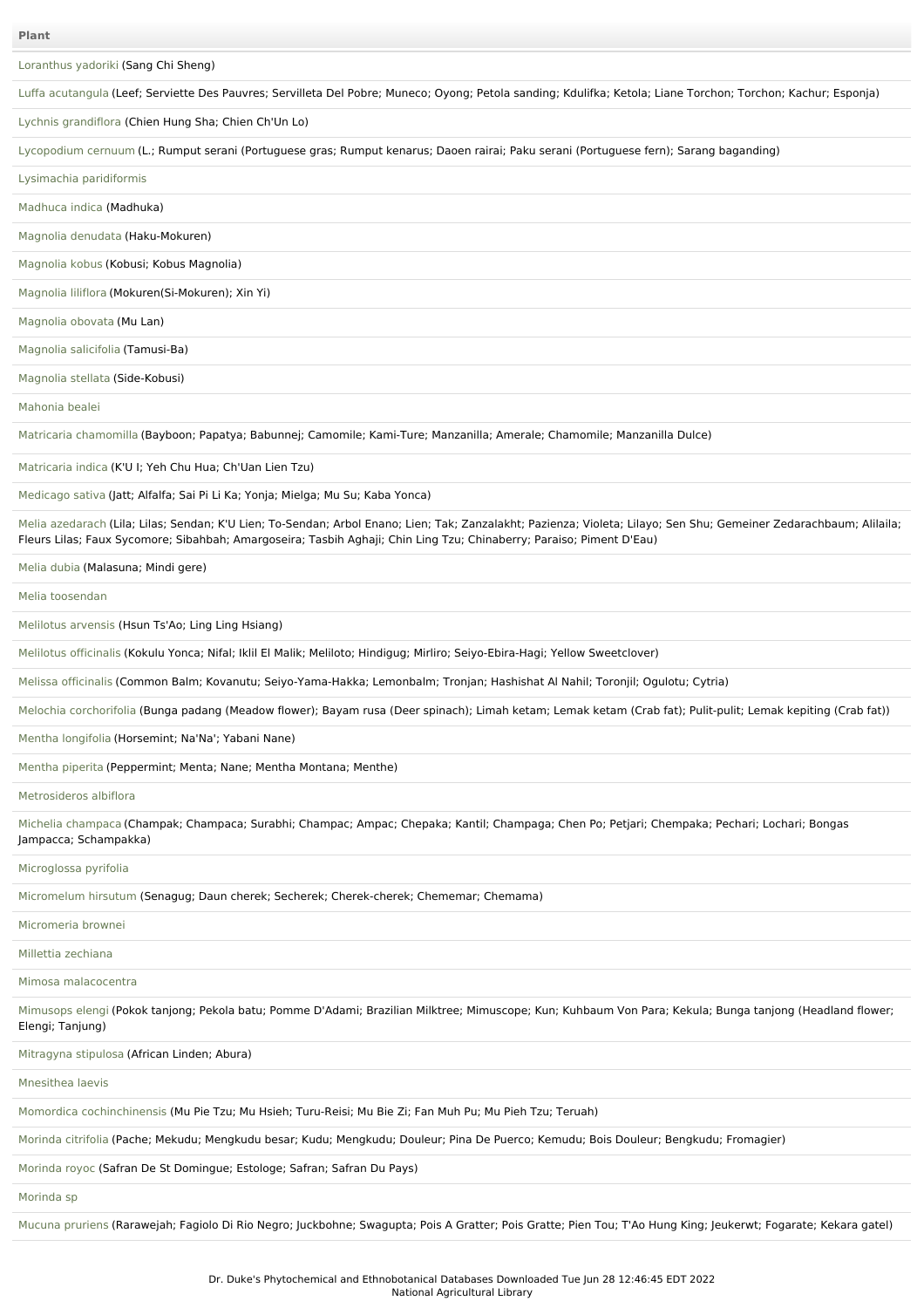[Loranthus](file:///phytochem/ethnoPlants/show/1720) yadoriki (Sang Chi Sheng)

Luffa [acutangula](file:///phytochem/ethnoPlants/show/1046) (Leef; Serviette Des Pauvres; Servilleta Del Pobre; Muneco; Oyong; Petola sanding; Kdulifka; Ketola; Liane Torchon; Torchon; Kachur; Esponja)

Lychnis [grandiflora](file:///phytochem/ethnoPlants/show/1721) (Chien Hung Sha; Chien Ch'Un Lo)

[Lycopodium](file:///phytochem/ethnoPlants/show/1722) cernuum (L.; Rumput serani (Portuguese gras; Rumput kenarus; Daoen rairai; Paku serani (Portuguese fern); Sarang baganding)

Lysimachia [paridiformis](file:///phytochem/ethnoPlants/show/944)

[Madhuca](file:///phytochem/ethnoPlants/show/1723) indica (Madhuka)

Magnolia [denudata](file:///phytochem/ethnoPlants/show/1724) (Haku-Mokuren)

[Magnolia](file:///phytochem/ethnoPlants/show/1725) kobus (Kobusi; Kobus Magnolia)

[Magnolia](file:///phytochem/ethnoPlants/show/711) liliflora (Mokuren(Si-Mokuren); Xin Yi)

[Magnolia](file:///phytochem/ethnoPlants/show/1726) obovata (Mu Lan)

[Magnolia](file:///phytochem/ethnoPlants/show/1727) salicifolia (Tamusi-Ba)

[Magnolia](file:///phytochem/ethnoPlants/show/712) stellata (Side-Kobusi)

[Mahonia](file:///phytochem/ethnoPlants/show/1728) bealei

Matricaria [chamomilla](file:///phytochem/ethnoPlants/show/521) (Bayboon; Papatya; Babunnej; Camomile; Kami-Ture; Manzanilla; Amerale; Chamomile; Manzanilla Dulce)

[Matricaria](file:///phytochem/ethnoPlants/show/1049) indica (K'U I; Yeh Chu Hua; Ch'Uan Lien Tzu)

[Medicago](file:///phytochem/ethnoPlants/show/2701) sativa (Jatt; Alfalfa; Sai Pi Li Ka; Yonja; Mielga; Mu Su; Kaba Yonca)

Melia [azedarach](file:///phytochem/ethnoPlants/show/203) (Lila; Lilas; Sendan; K'U Lien; To-Sendan; Arbol Enano; Lien; Tak; Zanzalakht; Pazienza; Violeta; Lilayo; Sen Shu; Gemeiner Zedarachbaum; Alilaila; Fleurs Lilas; Faux Sycomore; Sibahbah; Amargoseira; Tasbih Aghaji; Chin Ling Tzu; Chinaberry; Paraiso; Piment D'Eau)

[Melia](file:///phytochem/ethnoPlants/show/7161) dubia (Malasuna; Mindi gere)

Melia [toosendan](file:///phytochem/ethnoPlants/show/77)

[Melilotus](file:///phytochem/ethnoPlants/show/1729) arvensis (Hsun Ts'Ao; Ling Ling Hsiang)

[Melilotus](file:///phytochem/ethnoPlants/show/1730) officinalis (Kokulu Yonca; Nifal; Iklil El Malik; Meliloto; Hindigug; Mirliro; Seiyo-Ebira-Hagi; Yellow Sweetclover)

Melissa [officinalis](file:///phytochem/ethnoPlants/show/715) (Common Balm; Kovanutu; Seiyo-Yama-Hakka; Lemonbalm; Tronjan; Hashishat Al Nahil; Toronjil; Ogulotu; Cytria)

Melochia [corchorifolia](file:///phytochem/ethnoPlants/show/78) (Bunga padang (Meadow flower); Bayam rusa (Deer spinach); Limah ketam; Lemak ketam (Crab fat); Pulit-pulit; Lemak kepiting (Crab fat))

Mentha [longifolia](file:///phytochem/ethnoPlants/show/2222) (Horsemint; Na'Na'; Yabani Nane)

[Mentha](file:///phytochem/ethnoPlants/show/716) piperita (Peppermint; Menta; Nane; Mentha Montana; Menthe)

[Metrosideros](file:///phytochem/ethnoPlants/show/1731) albiflora

Michelia [champaca](file:///phytochem/ethnoPlants/show/1310) (Champak; Champaca; Surabhi; Champac; Ampac; Chepaka; Kantil; Champaga; Chen Po; Petjari; Chempaka; Pechari; Lochari; Bongas Jampacca; Schampakka)

[Microglossa](file:///phytochem/ethnoPlants/show/717) pyrifolia

[Micromelum](file:///phytochem/ethnoPlants/show/1732) hirsutum (Senagug; Daun cherek; Secherek; Cherek-cherek; Chememar; Chemama)

[Micromeria](file:///phytochem/ethnoPlants/show/8096) brownei

Millettia [zechiana](file:///phytochem/ethnoPlants/show/1733)

Mimosa [malacocentra](file:///phytochem/ethnoPlants/show/1734)

[Mimusops](file:///phytochem/ethnoPlants/show/3108) elengi (Pokok tanjong; Pekola batu; Pomme D'Adami; Brazilian Milktree; Mimuscope; Kun; Kuhbaum Von Para; Kekula; Bunga tanjong (Headland flower; Elengi; Tanjung)

[Mitragyna](file:///phytochem/ethnoPlants/show/1735) stipulosa (African Linden; Abura)

[Mnesithea](file:///phytochem/ethnoPlants/show/3301) laevis

Momordica [cochinchinensis](file:///phytochem/ethnoPlants/show/349) (Mu Pie Tzu; Mu Hsieh; Turu-Reisi; Mu Bie Zi; Fan Muh Pu; Mu Pieh Tzu; Teruah)

[Morinda](file:///phytochem/ethnoPlants/show/1098) citrifolia (Pache; Mekudu; Mengkudu besar; Kudu; Mengkudu; Douleur; Pina De Puerco; Kemudu; Bois Douleur; Bengkudu; Fromagier)

[Morinda](file:///phytochem/ethnoPlants/show/2034) royoc (Safran De St Domingue; Estologe; Safran; Safran Du Pays)

[Morinda](file:///phytochem/ethnoPlants/show/722) sp

Mucuna [pruriens](file:///phytochem/ethnoPlants/show/1506) (Rarawejah; Fagiolo Di Rio Negro; Juckbohne; Swagupta; Pois A Gratter; Pois Gratte; Pien Tou; T'Ao Hung King; Jeukerwt; Fogarate; Kekara gatel)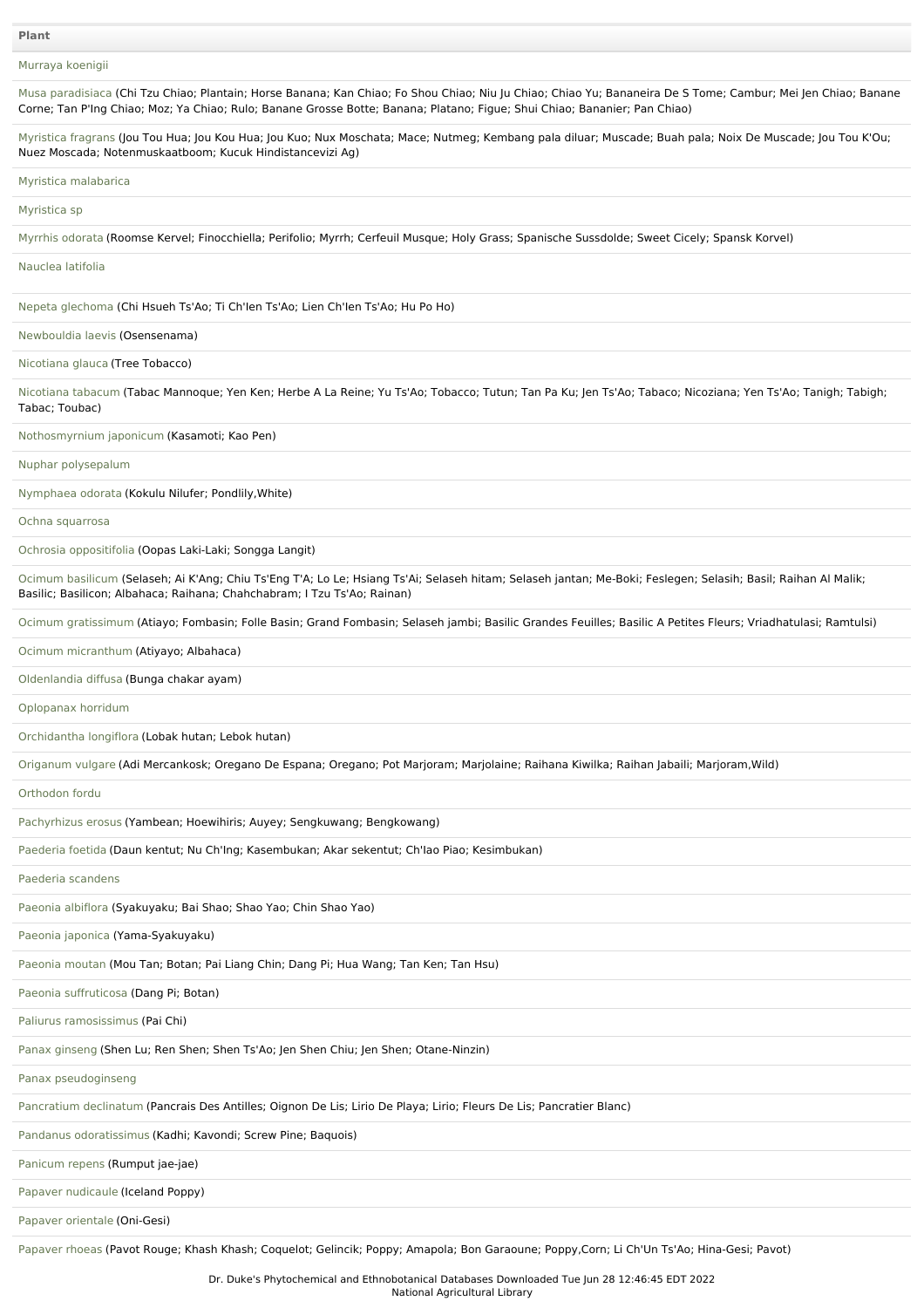# [Murraya](file:///phytochem/ethnoPlants/show/1736) koenigii

| Musa paradisiaca (Chi Tzu Chiao; Plantain; Horse Banana; Kan Chiao; Fo Shou Chiao; Niu Ju Chiao; Chiao Yu; Bananeira De S Tome; Cambur; Mei Jen Chiao; Banane<br>Corne; Tan P'Ing Chiao; Moz; Ya Chiao; Rulo; Banane Grosse Botte; Banana; Platano; Figue; Shui Chiao; Bananier; Pan Chiao) |
|---------------------------------------------------------------------------------------------------------------------------------------------------------------------------------------------------------------------------------------------------------------------------------------------|
| Myristica fragrans (Jou Tou Hua; Jou Kou Hua; Jou Kuo; Nux Moschata; Mace; Nutmeg; Kembang pala diluar; Muscade; Buah pala; Noix De Muscade; Jou Tou K'Ou;<br>Nuez Moscada; Notenmuskaatboom; Kucuk Hindistancevizi Ag)                                                                     |
| Myristica malabarica                                                                                                                                                                                                                                                                        |
| Myristica sp                                                                                                                                                                                                                                                                                |
| Myrrhis odorata (Roomse Kervel; Finocchiella; Perifolio; Myrrh; Cerfeuil Musque; Holy Grass; Spanische Sussdolde; Sweet Cicely; Spansk Korvel)                                                                                                                                              |
| Nauclea latifolia                                                                                                                                                                                                                                                                           |
| Nepeta glechoma (Chi Hsueh Ts'Ao; Ti Ch'len Ts'Ao; Lien Ch'len Ts'Ao; Hu Po Ho)                                                                                                                                                                                                             |
| Newbouldia laevis (Osensenama)                                                                                                                                                                                                                                                              |
| Nicotiana glauca (Tree Tobacco)                                                                                                                                                                                                                                                             |
| Nicotiana tabacum (Tabac Mannoque; Yen Ken; Herbe A La Reine; Yu Ts'Ao; Tobacco; Tutun; Tan Pa Ku; Jen Ts'Ao; Tabaco; Nicoziana; Yen Ts'Ao; Tanigh; Tabigh;<br>Tabac; Toubac)                                                                                                               |
| Nothosmyrnium japonicum (Kasamoti; Kao Pen)                                                                                                                                                                                                                                                 |
| Nuphar polysepalum                                                                                                                                                                                                                                                                          |
| Nymphaea odorata (Kokulu Nilufer; Pondlily, White)                                                                                                                                                                                                                                          |
| Ochna squarrosa                                                                                                                                                                                                                                                                             |
| Ochrosia oppositifolia (Oopas Laki-Laki; Songga Langit)                                                                                                                                                                                                                                     |
| Ocimum basilicum (Selaseh; Ai K'Ang; Chiu Ts'Eng T'A; Lo Le; Hsiang Ts'Ai; Selaseh hitam; Selaseh jantan; Me-Boki; Feslegen; Selasih; Basil; Raihan Al Malik;<br>Basilic; Basilicon; Albahaca; Raihana; Chahchabram; I Tzu Ts'Ao; Rainan)                                                   |
| Ocimum gratissimum (Atiayo; Fombasin; Folle Basin; Grand Fombasin; Selaseh jambi; Basilic Grandes Feuilles; Basilic A Petites Fleurs; Vriadhatulasi; Ramtulsi)                                                                                                                              |
| Ocimum micranthum (Atiyayo; Albahaca)                                                                                                                                                                                                                                                       |
| Oldenlandia diffusa (Bunga chakar ayam)                                                                                                                                                                                                                                                     |
| Oplopanax horridum                                                                                                                                                                                                                                                                          |
| Orchidantha longiflora (Lobak hutan; Lebok hutan)                                                                                                                                                                                                                                           |
| Origanum vulgare (Adi Mercankosk; Oregano De Espana; Oregano; Pot Marjoram; Marjolaine; Raihana Kiwilka; Raihan Jabaili; Marjoram, Wild)                                                                                                                                                    |
| Orthodon fordu                                                                                                                                                                                                                                                                              |
| Pachyrhizus erosus (Yambean; Hoewihiris; Auyey; Sengkuwang; Bengkowang)                                                                                                                                                                                                                     |
| Paederia foetida (Daun kentut; Nu Ch'Ing; Kasembukan; Akar sekentut; Ch'Iao Piao; Kesimbukan)                                                                                                                                                                                               |
| Paederia scandens                                                                                                                                                                                                                                                                           |
| Paeonia albiflora (Syakuyaku; Bai Shao; Shao Yao; Chin Shao Yao)                                                                                                                                                                                                                            |
| Paeonia japonica (Yama-Syakuyaku)                                                                                                                                                                                                                                                           |
| Paeonia moutan (Mou Tan; Botan; Pai Liang Chin; Dang Pi; Hua Wang; Tan Ken; Tan Hsu)                                                                                                                                                                                                        |
| Paeonia suffruticosa (Dang Pi; Botan)                                                                                                                                                                                                                                                       |
| Paliurus ramosissimus (Pai Chi)                                                                                                                                                                                                                                                             |
| Panax ginseng (Shen Lu; Ren Shen; Shen Ts'Ao; Jen Shen Chiu; Jen Shen; Otane-Ninzin)                                                                                                                                                                                                        |
| Panax pseudoginseng                                                                                                                                                                                                                                                                         |
| Pancratium declinatum (Pancrais Des Antilles; Oignon De Lis; Lirio De Playa; Lirio; Fleurs De Lis; Pancratier Blanc)                                                                                                                                                                        |
| Pandanus odoratissimus (Kadhi; Kavondi; Screw Pine; Baquois)                                                                                                                                                                                                                                |
| Panicum repens (Rumput jae-jae)                                                                                                                                                                                                                                                             |
| Papaver nudicaule (Iceland Poppy)                                                                                                                                                                                                                                                           |
| Papaver orientale (Oni-Gesi)                                                                                                                                                                                                                                                                |

[Papaver](file:///phytochem/ethnoPlants/show/1557) rhoeas (Pavot Rouge; Khash Khash; Coquelot; Gelincik; Poppy; Amapola; Bon Garaoune; Poppy,Corn; Li Ch'Un Ts'Ao; Hina-Gesi; Pavot)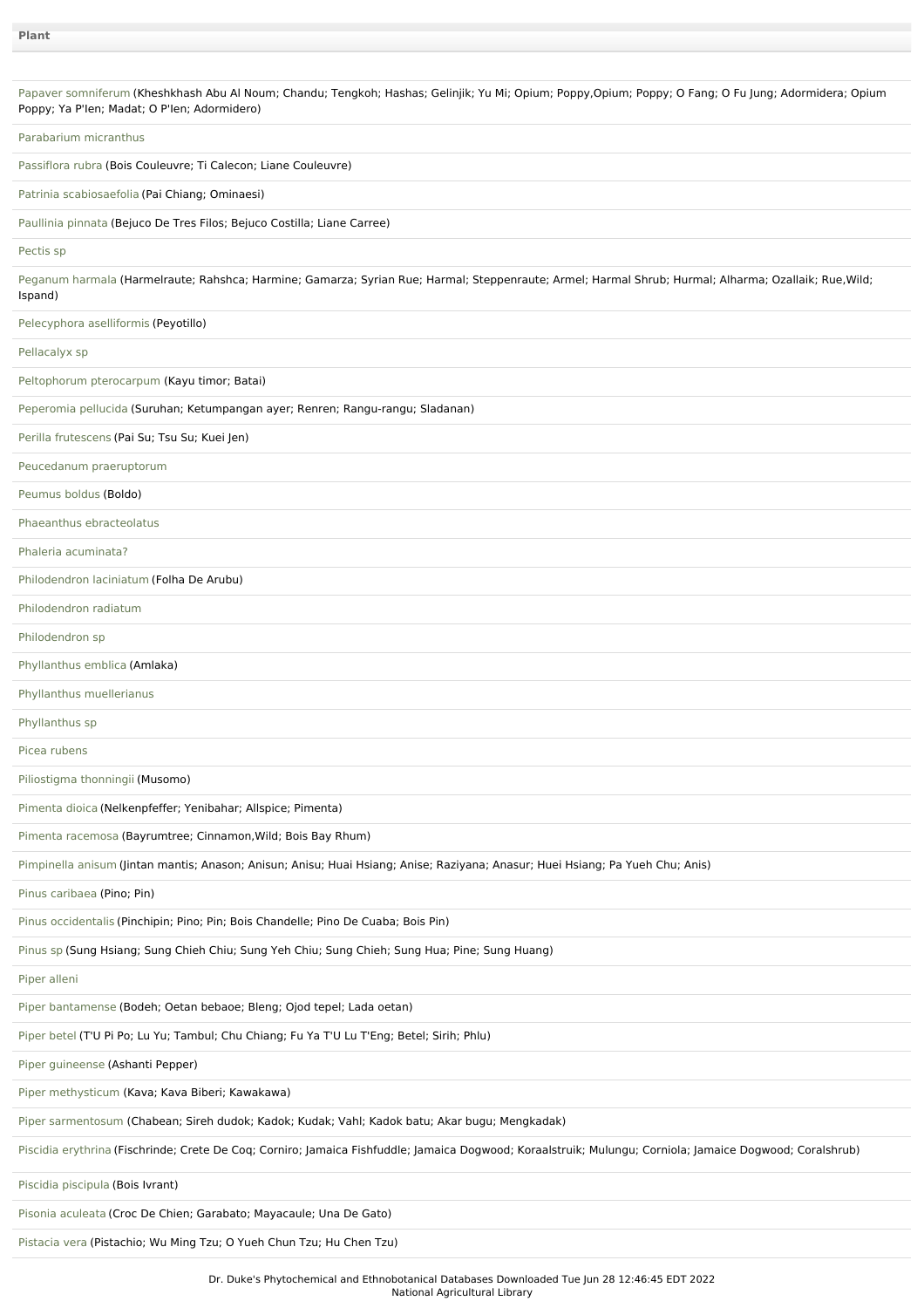| Papaver somniferum (Kheshkhash Abu Al Noum; Chandu; Tengkoh; Hashas; Gelinjik; Yu Mi; Opium; Poppy,Opium; Poppy; O Fang; O Fu Jung; Adormidera; Opium<br>Poppy; Ya P'len; Madat; O P'len; Adormidero) |
|-------------------------------------------------------------------------------------------------------------------------------------------------------------------------------------------------------|
| Parabarium micranthus                                                                                                                                                                                 |
| Passiflora rubra (Bois Couleuvre; Ti Calecon; Liane Couleuvre)                                                                                                                                        |
| Patrinia scabiosaefolia (Pai Chiang; Ominaesi)                                                                                                                                                        |
| Paullinia pinnata (Bejuco De Tres Filos; Bejuco Costilla; Liane Carree)                                                                                                                               |
| Pectis sp                                                                                                                                                                                             |
| Peganum harmala (Harmelraute; Rahshca; Harmine; Gamarza; Syrian Rue; Harmal; Steppenraute; Armel; Harmal Shrub; Hurmal; Alharma; Ozallaik; Rue, Wild;<br>Ispand)                                      |
| Pelecyphora aselliformis (Peyotillo)                                                                                                                                                                  |
| Pellacalyx sp                                                                                                                                                                                         |
| Peltophorum pterocarpum (Kayu timor; Batai)                                                                                                                                                           |
| Peperomia pellucida (Suruhan; Ketumpangan ayer; Renren; Rangu-rangu; Sladanan)                                                                                                                        |
| Perilla frutescens (Pai Su; Tsu Su; Kuei Jen)                                                                                                                                                         |
| Peucedanum praeruptorum                                                                                                                                                                               |
| Peumus boldus (Boldo)                                                                                                                                                                                 |
| Phaeanthus ebracteolatus                                                                                                                                                                              |
| Phaleria acuminata?                                                                                                                                                                                   |
| Philodendron laciniatum (Folha De Arubu)                                                                                                                                                              |
| Philodendron radiatum                                                                                                                                                                                 |
| Philodendron sp                                                                                                                                                                                       |
| Phyllanthus emblica (Amlaka)                                                                                                                                                                          |
| Phyllanthus muellerianus                                                                                                                                                                              |
| Phyllanthus sp                                                                                                                                                                                        |
| Picea rubens                                                                                                                                                                                          |
| Piliostigma thonningii (Musomo)                                                                                                                                                                       |
| Pimenta dioica (Nelkenpfeffer; Yenibahar; Allspice; Pimenta)                                                                                                                                          |
| Pimenta racemosa (Bayrumtree; Cinnamon, Wild; Bois Bay Rhum)                                                                                                                                          |
| Pimpinella anisum (Jintan mantis; Anason; Anisun; Anisu; Huai Hsiang; Anise; Raziyana; Anasur; Huei Hsiang; Pa Yueh Chu; Anis)                                                                        |
| Pinus caribaea (Pino; Pin)                                                                                                                                                                            |
| Pinus occidentalis (Pinchipin; Pino; Pin; Bois Chandelle; Pino De Cuaba; Bois Pin)                                                                                                                    |
| Pinus sp (Sung Hsiang; Sung Chieh Chiu; Sung Yeh Chiu; Sung Chieh; Sung Hua; Pine; Sung Huang)                                                                                                        |
| Piper alleni                                                                                                                                                                                          |
| Piper bantamense (Bodeh; Oetan bebaoe; Bleng; Ojod tepel; Lada oetan)                                                                                                                                 |
| Piper betel (T'U Pi Po; Lu Yu; Tambul; Chu Chiang; Fu Ya T'U Lu T'Eng; Betel; Sirih; Phlu)                                                                                                            |
| Piper guineense (Ashanti Pepper)                                                                                                                                                                      |
| Piper methysticum (Kava; Kava Biberi; Kawakawa)                                                                                                                                                       |
| Piper sarmentosum (Chabean; Sireh dudok; Kadok; Kudak; Vahl; Kadok batu; Akar bugu; Mengkadak)                                                                                                        |
| Piscidia erythrina (Fischrinde; Crete De Coq; Corniro; Jamaica Fishfuddle; Jamaica Dogwood; Koraalstruik; Mulungu; Corniola; Jamaice Dogwood; Coralshrub)                                             |
| Piscidia piscipula (Bois Ivrant)                                                                                                                                                                      |
| Pisonia aculeata (Croc De Chien; Garabato; Mayacaule; Una De Gato)                                                                                                                                    |
| Pistacia vera (Pistachio; Wu Ming Tzu; O Yueh Chun Tzu; Hu Chen Tzu)                                                                                                                                  |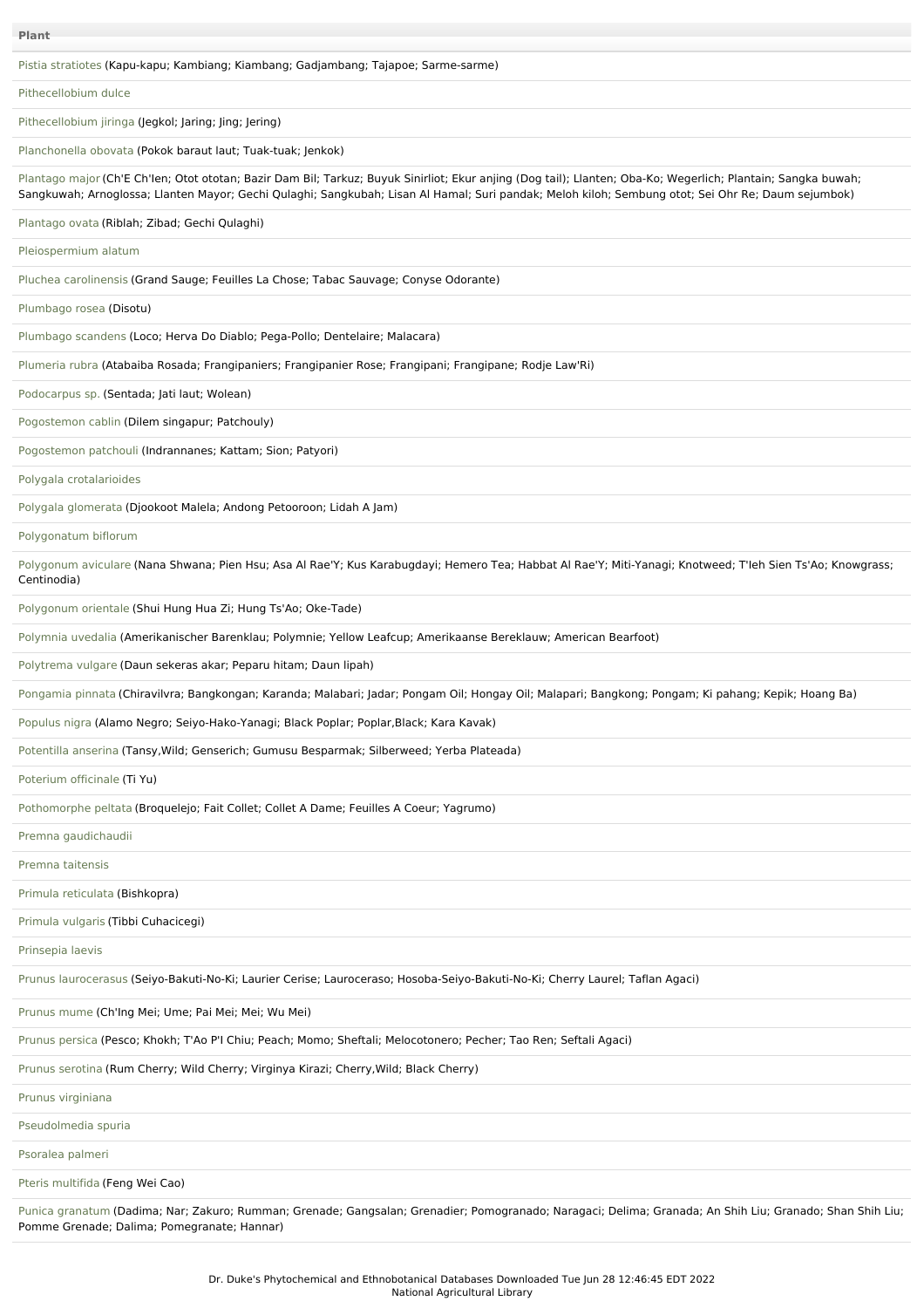|  |  |  | Pistia stratiotes (Kapu-kapu; Kambiang; Kiambang; Gadjambang; Tajapoe; Sarme-sarme) |
|--|--|--|-------------------------------------------------------------------------------------|
|  |  |  |                                                                                     |
|  |  |  |                                                                                     |

[Pithecellobium](file:///phytochem/ethnoPlants/show/533) dulce

[Pithecellobium](file:///phytochem/ethnoPlants/show/1771) jiringa (Jegkol; Jaring; Jing; Jering)

[Planchonella](file:///phytochem/ethnoPlants/show/966) obovata (Pokok baraut laut; Tuak-tuak; Jenkok)

[Plantago](file:///phytochem/ethnoPlants/show/535) major (Ch'E Ch'Ien; Otot ototan; Bazir Dam Bil; Tarkuz; Buyuk Sinirliot; Ekur anjing (Dog tail); Llanten; Oba-Ko; Wegerlich; Plantain; Sangka buwah; Sangkuwah; Arnoglossa; Llanten Mayor; Gechi Qulaghi; Sangkubah; Lisan Al Hamal; Suri pandak; Meloh kiloh; Sembung otot; Sei Ohr Re; Daum sejumbok)

[Plantago](file:///phytochem/ethnoPlants/show/1377) ovata (Riblah; Zibad; Gechi Qulaghi)

[Pleiospermium](file:///phytochem/ethnoPlants/show/9435) alatum

Pluchea [carolinensis](file:///phytochem/ethnoPlants/show/765) (Grand Sauge; Feuilles La Chose; Tabac Sauvage; Conyse Odorante)

[Plumbago](file:///phytochem/ethnoPlants/show/1772) rosea (Disotu)

[Plumbago](file:///phytochem/ethnoPlants/show/969) scandens (Loco; Herva Do Diablo; Pega-Pollo; Dentelaire; Malacara)

[Plumeria](file:///phytochem/ethnoPlants/show/218) rubra (Atabaiba Rosada; Frangipaniers; Frangipanier Rose; Frangipani; Frangipane; Rodje Law'Ri)

[Podocarpus](file:///phytochem/ethnoPlants/show/1773) sp. (Sentada; Jati laut; Wolean)

[Pogostemon](file:///phytochem/ethnoPlants/show/97) cablin (Dilem singapur; Patchouly)

[Pogostemon](file:///phytochem/ethnoPlants/show/1774) patchouli (Indrannanes; Kattam; Sion; Patyori)

Polygala [crotalarioides](file:///phytochem/ethnoPlants/show/768)

Polygala [glomerata](file:///phytochem/ethnoPlants/show/1775) (Djookoot Malela; Andong Petooroon; Lidah A Jam)

[Polygonatum](file:///phytochem/ethnoPlants/show/1776) biflorum

[Polygonum](file:///phytochem/ethnoPlants/show/1777) aviculare (Nana Shwana; Pien Hsu; Asa Al Rae'Y; Kus Karabugdayi; Hemero Tea; Habbat Al Rae'Y; Miti-Yanagi; Knotweed; T'leh Sien Ts'Ao; Knowgrass; Centinodia)

[Polygonum](file:///phytochem/ethnoPlants/show/3869) orientale (Shui Hung Hua Zi; Hung Ts'Ao; Oke-Tade)

[Polymnia](file:///phytochem/ethnoPlants/show/1778) uvedalia (Amerikanischer Barenklau; Polymnie; Yellow Leafcup; Amerikaanse Bereklauw; American Bearfoot)

[Polytrema](file:///phytochem/ethnoPlants/show/100) vulgare (Daun sekeras akar; Peparu hitam; Daun lipah)

[Pongamia](file:///phytochem/ethnoPlants/show/2010) pinnata (Chiravilvra; Bangkongan; Karanda; Malabari; Jadar; Pongam Oil; Hongay Oil; Malapari; Bangkong; Pongam; Ki pahang; Kepik; Hoang Ba)

[Populus](file:///phytochem/ethnoPlants/show/1779) nigra (Alamo Negro; Seiyo-Hako-Yanagi; Black Poplar; Poplar, Black; Kara Kavak)

[Potentilla](file:///phytochem/ethnoPlants/show/2712) anserina (Tansy,Wild; Genserich; Gumusu Besparmak; Silberweed; Yerba Plateada)

[Poterium](file:///phytochem/ethnoPlants/show/1780) officinale (Ti Yu)

[Pothomorphe](file:///phytochem/ethnoPlants/show/373) peltata (Broquelejo; Fait Collet; Collet A Dame; Feuilles A Coeur; Yagrumo)

Premna [gaudichaudii](file:///phytochem/ethnoPlants/show/1781)

Premna [taitensis](file:///phytochem/ethnoPlants/show/771)

Primula [reticulata](file:///phytochem/ethnoPlants/show/11416) (Bishkopra)

Primula [vulgaris](file:///phytochem/ethnoPlants/show/1782) (Tibbi Cuhacicegi)

[Prinsepia](file:///phytochem/ethnoPlants/show/1783) laevis

Prunus [laurocerasus](file:///phytochem/ethnoPlants/show/1784) (Seiyo-Bakuti-No-Ki; Laurier Cerise; Lauroceraso; Hosoba-Seiyo-Bakuti-No-Ki; Cherry Laurel; Taflan Agaci)

[Prunus](file:///phytochem/ethnoPlants/show/102) mume (Ch'Ing Mei; Ume; Pai Mei; Mei; Wu Mei)

Prunus [persica](file:///phytochem/ethnoPlants/show/538) (Pesco; Khokh; T'Ao P'I Chiu; Peach; Momo; Sheftali; Melocotonero; Pecher; Tao Ren; Seftali Agaci)

Prunus [serotina](file:///phytochem/ethnoPlants/show/1785) (Rum Cherry; Wild Cherry; Virginya Kirazi; Cherry,Wild; Black Cherry)

Prunus [virginiana](file:///phytochem/ethnoPlants/show/775)

[Pseudolmedia](file:///phytochem/ethnoPlants/show/776) spuria

[Psoralea](file:///phytochem/ethnoPlants/show/1786) palmeri

Pteris [multifida](file:///phytochem/ethnoPlants/show/1787) (Feng Wei Cao)

Punica [granatum](file:///phytochem/ethnoPlants/show/2861) (Dadima; Nar; Zakuro; Rumman; Grenade; Gangsalan; Grenadier; Pomogranado; Naragaci; Delima; Granada; An Shih Liu; Granado; Shan Shih Liu; Pomme Grenade; Dalima; Pomegranate; Hannar)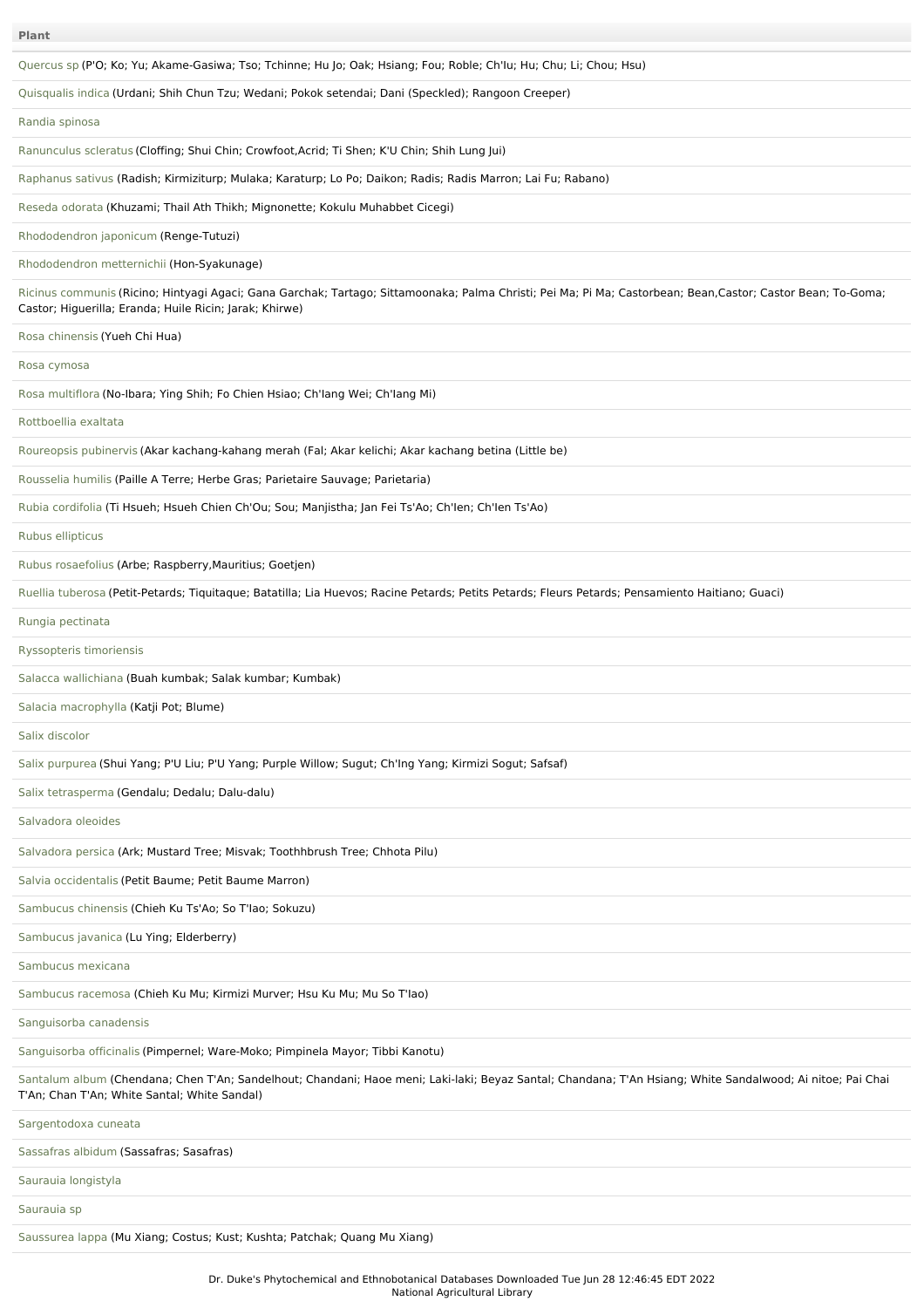| <b>Plant</b>                                                                                                                                                                                                           |
|------------------------------------------------------------------------------------------------------------------------------------------------------------------------------------------------------------------------|
| Quercus sp (P'O; Ko; Yu; Akame-Gasiwa; Tso; Tchinne; Hu Jo; Oak; Hsiang; Fou; Roble; Ch'lu; Hu; Chu; Li; Chou; Hsu)                                                                                                    |
| Quisqualis indica (Urdani; Shih Chun Tzu; Wedani; Pokok setendai; Dani (Speckled); Rangoon Creeper)                                                                                                                    |
| Randia spinosa                                                                                                                                                                                                         |
| Ranunculus scleratus (Cloffing; Shui Chin; Crowfoot, Acrid; Ti Shen; K'U Chin; Shih Lung Jui)                                                                                                                          |
| Raphanus sativus (Radish; Kirmiziturp; Mulaka; Karaturp; Lo Po; Daikon; Radis; Radis Marron; Lai Fu; Rabano)                                                                                                           |
| Reseda odorata (Khuzami; Thail Ath Thikh; Mignonette; Kokulu Muhabbet Cicegi)                                                                                                                                          |
| Rhododendron japonicum (Renge-Tutuzi)                                                                                                                                                                                  |
| Rhododendron metternichii (Hon-Syakunage)                                                                                                                                                                              |
| Ricinus communis (Ricino; Hintyagi Agaci; Gana Garchak; Tartago; Sittamoonaka; Palma Christi; Pei Ma; Pi Ma; Castorbean; Bean,Castor; Castor Bean; To-Goma;<br>Castor; Higuerilla; Eranda; Huile Ricin; Jarak; Khirwe) |
| Rosa chinensis (Yueh Chi Hua)                                                                                                                                                                                          |
| Rosa cymosa                                                                                                                                                                                                            |
| Rosa multiflora (No-Ibara; Ying Shih; Fo Chien Hsiao; Ch'lang Wei; Ch'lang Mi)                                                                                                                                         |
| Rottboellia exaltata                                                                                                                                                                                                   |
| Roureopsis pubinervis (Akar kachang-kahang merah (Fal; Akar kelichi; Akar kachang betina (Little be)                                                                                                                   |
| Rousselia humilis (Paille A Terre; Herbe Gras; Parietaire Sauvage; Parietaria)                                                                                                                                         |
| Rubia cordifolia (Ti Hsueh; Hsueh Chien Ch'Ou; Sou; Manjistha; Jan Fei Ts'Ao; Ch'len; Ch'len Ts'Ao)                                                                                                                    |
| Rubus ellipticus                                                                                                                                                                                                       |
| Rubus rosaefolius (Arbe; Raspberry, Mauritius; Goetjen)                                                                                                                                                                |
| Ruellia tuberosa (Petit-Petards; Tiquitaque; Batatilla; Lia Huevos; Racine Petards; Petits Petards; Fleurs Petards; Pensamiento Haitiano; Guaci)                                                                       |
| Rungia pectinata                                                                                                                                                                                                       |
| Ryssopteris timoriensis                                                                                                                                                                                                |
| Salacca wallichiana (Buah kumbak; Salak kumbar; Kumbak)                                                                                                                                                                |
| Salacia macrophylla (Katji Pot; Blume)                                                                                                                                                                                 |
| Salix discolor                                                                                                                                                                                                         |
| Salix purpurea (Shui Yang; P'U Liu; P'U Yang; Purple Willow; Sugut; Ch'Ing Yang; Kirmizi Sogut; Safsaf)                                                                                                                |
| Salix tetrasperma (Gendalu; Dedalu; Dalu-dalu)                                                                                                                                                                         |
| Salvadora oleoides                                                                                                                                                                                                     |
| Salvadora persica (Ark; Mustard Tree; Misvak; Toothhbrush Tree; Chhota Pilu)                                                                                                                                           |
| Salvia occidentalis (Petit Baume; Petit Baume Marron)                                                                                                                                                                  |
| Sambucus chinensis (Chieh Ku Ts'Ao; So T'lao; Sokuzu)                                                                                                                                                                  |
| Sambucus javanica (Lu Ying; Elderberry)                                                                                                                                                                                |
| Sambucus mexicana                                                                                                                                                                                                      |
| Sambucus racemosa (Chieh Ku Mu; Kirmizi Murver; Hsu Ku Mu; Mu So T'lao)                                                                                                                                                |
| Sanguisorba canadensis                                                                                                                                                                                                 |
| Sanguisorba officinalis (Pimpernel; Ware-Moko; Pimpinela Mayor; Tibbi Kanotu)                                                                                                                                          |
| Santalum album (Chendana; Chen T'An; Sandelhout; Chandani; Haoe meni; Laki-laki; Beyaz Santal; Chandana; T'An Hsiang; White Sandalwood; Ai nitoe; Pai Chai<br>T'An; Chan T'An; White Santal; White Sandal)             |
| Sargentodoxa cuneata                                                                                                                                                                                                   |
| Sassafras albidum (Sassafras; Sasafras)                                                                                                                                                                                |
| Saurauia longistyla                                                                                                                                                                                                    |
| Saurauia sp                                                                                                                                                                                                            |
| Saussurea lappa (Mu Xiang; Costus; Kust; Kushta; Patchak; Quang Mu Xiang)                                                                                                                                              |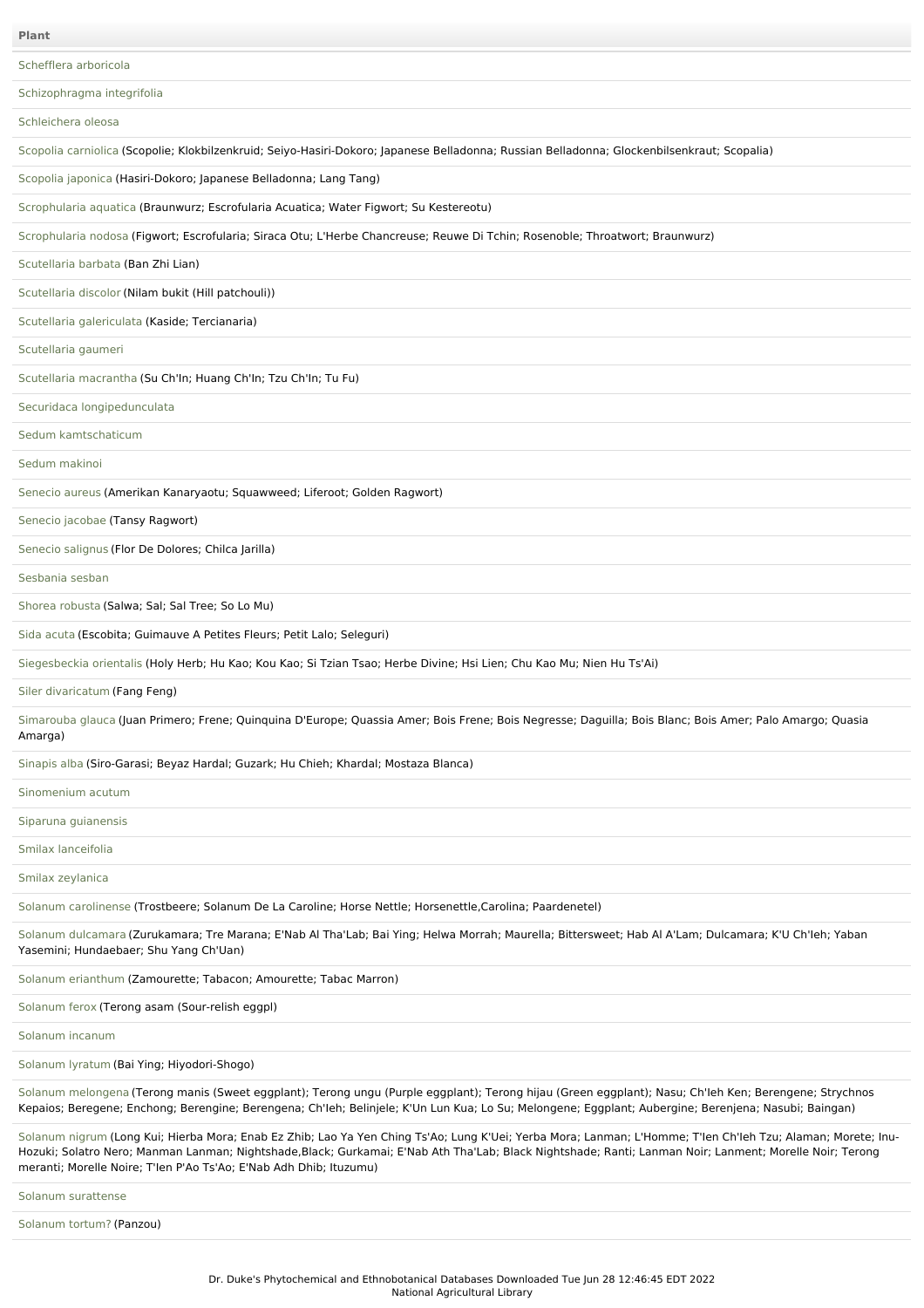[Schefflera](file:///phytochem/ethnoPlants/show/1803) arboricola [Schizophragma](file:///phytochem/ethnoPlants/show/1804) integrifolia [Schleichera](file:///phytochem/ethnoPlants/show/462) oleosa Scopolia [carniolica](file:///phytochem/ethnoPlants/show/6298) (Scopolie; Klokbilzenkruid; Seiyo-Hasiri-Dokoro; Japanese Belladonna; Russian Belladonna; Glockenbilsenkraut; Scopalia) [Scopolia](file:///phytochem/ethnoPlants/show/1805) japonica (Hasiri-Dokoro; Japanese Belladonna; Lang Tang) [Scrophularia](file:///phytochem/ethnoPlants/show/1806) aquatica (Braunwurz; Escrofularia Acuatica; Water Figwort; Su Kestereotu) [Scrophularia](file:///phytochem/ethnoPlants/show/1807) nodosa (Figwort; Escrofularia; Siraca Otu; L'Herbe Chancreuse; Reuwe Di Tchin; Rosenoble; Throatwort; Braunwurz) [Scutellaria](file:///phytochem/ethnoPlants/show/1165) barbata (Ban Zhi Lian) [Scutellaria](file:///phytochem/ethnoPlants/show/1808) discolor (Nilam bukit (Hill patchouli)) Scutellaria [galericulata](file:///phytochem/ethnoPlants/show/1105) (Kaside; Tercianaria) [Scutellaria](file:///phytochem/ethnoPlants/show/463) gaumeri [Scutellaria](file:///phytochem/ethnoPlants/show/1809) macrantha (Su Ch'In; Huang Ch'In; Tzu Ch'In; Tu Fu) Securidaca [longipedunculata](file:///phytochem/ethnoPlants/show/1810) Sedum [kamtschaticum](file:///phytochem/ethnoPlants/show/1811) Sedum [makinoi](file:///phytochem/ethnoPlants/show/382) [Senecio](file:///phytochem/ethnoPlants/show/1812) aureus (Amerikan Kanaryaotu; Squawweed; Liferoot; Golden Ragwort) [Senecio](file:///phytochem/ethnoPlants/show/1813) jacobae (Tansy Ragwort) [Senecio](file:///phytochem/ethnoPlants/show/1814) salignus (Flor De Dolores; Chilca Jarilla) [Sesbania](file:///phytochem/ethnoPlants/show/385) sesban Shorea [robusta](file:///phytochem/ethnoPlants/show/994) (Salwa; Sal; Sal Tree; So Lo Mu) Sida [acuta](file:///phytochem/ethnoPlants/show/237) (Escobita; Guimauve A Petites Fleurs; Petit Lalo; Seleguri) [Siegesbeckia](file:///phytochem/ethnoPlants/show/1106) orientalis (Holy Herb; Hu Kao; Kou Kao; Si Tzian Tsao; Herbe Divine; Hsi Lien; Chu Kao Mu; Nien Hu Ts'Ai) Siler [divaricatum](file:///phytochem/ethnoPlants/show/792) (Fang Feng) [Simarouba](file:///phytochem/ethnoPlants/show/474) glauca (Juan Primero; Frene; Quinquina D'Europe; Quassia Amer; Bois Frene; Bois Negresse; Daguilla; Bois Blanc; Bois Amer; Palo Amargo; Quasia Amarga) [Sinapis](file:///phytochem/ethnoPlants/show/2489) alba (Siro-Garasi; Beyaz Hardal; Guzark; Hu Chieh; Khardal; Mostaza Blanca) [Sinomenium](file:///phytochem/ethnoPlants/show/1815) acutum Siparuna [guianensis](file:///phytochem/ethnoPlants/show/1816) Smilax [lanceifolia](file:///phytochem/ethnoPlants/show/11491) Smilax [zeylanica](file:///phytochem/ethnoPlants/show/387) Solanum [carolinense](file:///phytochem/ethnoPlants/show/1817) (Trostbeere; Solanum De La Caroline; Horse Nettle; Horsenettle,Carolina; Paardenetel) Solanum [dulcamara](file:///phytochem/ethnoPlants/show/1474) (Zurukamara; Tre Marana; E'Nab Al Tha'Lab; Bai Ying; Helwa Morrah; Maurella; Bittersweet; Hab Al A'Lam; Dulcamara; K'U Ch'Ieh; Yaban Yasemini; Hundaebaer; Shu Yang Ch'Uan) Solanum [erianthum](file:///phytochem/ethnoPlants/show/1818) (Zamourette; Tabacon; Amourette; Tabac Marron) [Solanum](file:///phytochem/ethnoPlants/show/1819) ferox (Terong asam (Sour-relish eggpl) [Solanum](file:///phytochem/ethnoPlants/show/995) incanum [Solanum](file:///phytochem/ethnoPlants/show/388) lyratum (Bai Ying; Hiyodori-Shogo) Solanum [melongena](file:///phytochem/ethnoPlants/show/389) (Terong manis (Sweet eggplant); Terong ungu (Purple eggplant); Terong hijau (Green eggplant); Nasu; Ch'Ieh Ken; Berengene; Strychnos Kepaios; Beregene; Enchong; Berengine; Berengena; Ch'Ieh; Belinjele; K'Un Lun Kua; Lo Su; Melongene; Eggplant; Aubergine; Berenjena; Nasubi; Baingan) [Solanum](file:///phytochem/ethnoPlants/show/996) nigrum (Long Kui; Hierba Mora; Enab Ez Zhib; Lao Ya Yen Ching Ts'Ao; Lung K'Uei; Yerba Mora; Lanman; L'Homme; T'Ien Ch'Ieh Tzu; Alaman; Morete; Inu-Hozuki; Solatro Nero; Manman Lanman; Nightshade,Black; Gurkamai; E'Nab Ath Tha'Lab; Black Nightshade; Ranti; Lanman Noir; Lanment; Morelle Noir; Terong meranti; Morelle Noire; T'Ien P'Ao Ts'Ao; E'Nab Adh Dhib; Ituzumu) **Plant**

Solanum [surattense](file:///phytochem/ethnoPlants/show/1820)

[Solanum](file:///phytochem/ethnoPlants/show/1821) tortum? (Panzou)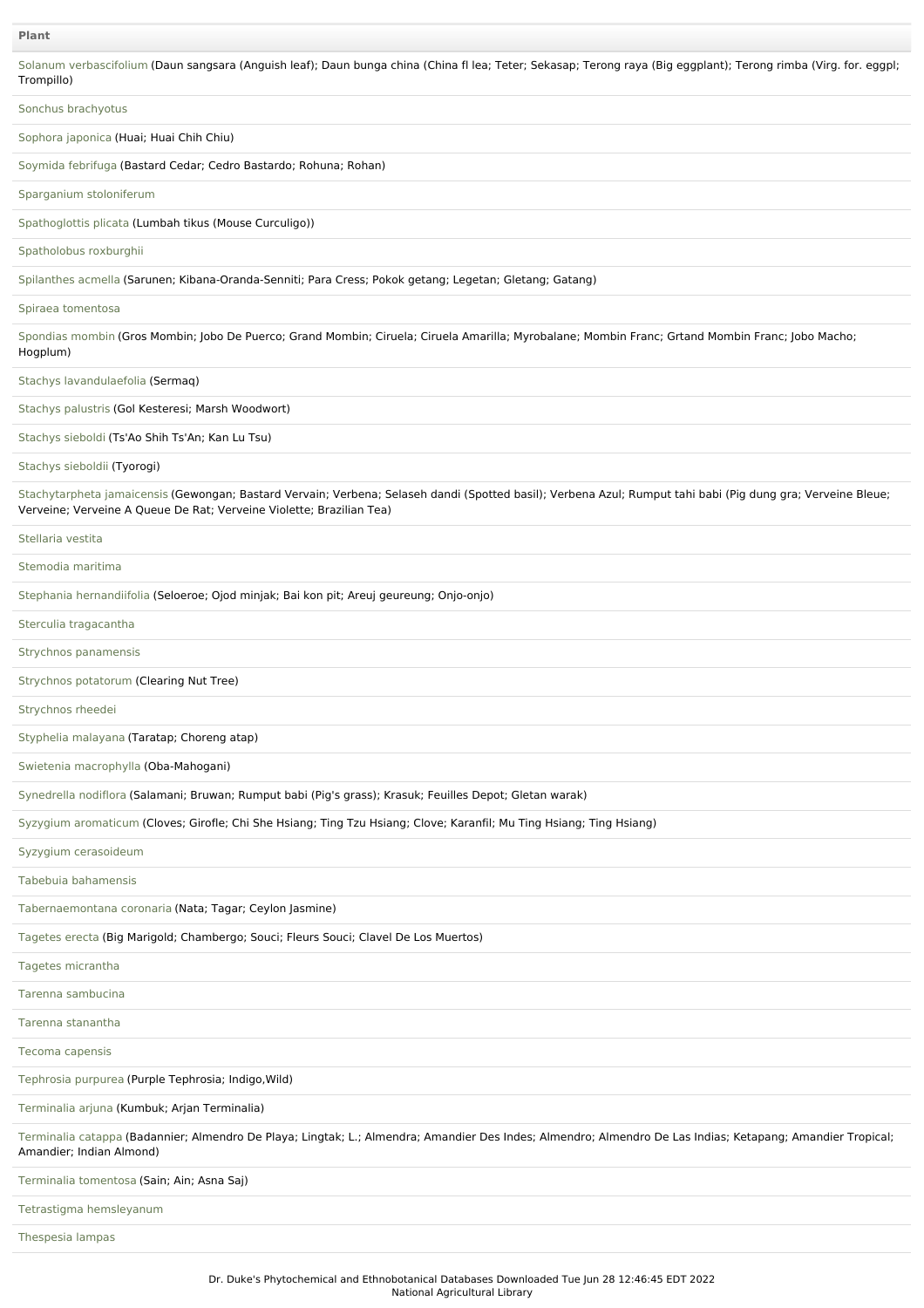| Trompillo)                                                                                                                                                                                                                           |
|--------------------------------------------------------------------------------------------------------------------------------------------------------------------------------------------------------------------------------------|
| Sonchus brachyotus                                                                                                                                                                                                                   |
| Sophora japonica (Huai; Huai Chih Chiu)                                                                                                                                                                                              |
| Soymida febrifuga (Bastard Cedar; Cedro Bastardo; Rohuna; Rohan)                                                                                                                                                                     |
| Sparganium stoloniferum                                                                                                                                                                                                              |
| Spathoglottis plicata (Lumbah tikus (Mouse Curculigo))                                                                                                                                                                               |
| Spatholobus roxburghii                                                                                                                                                                                                               |
| Spilanthes acmella (Sarunen; Kibana-Oranda-Senniti; Para Cress; Pokok getang; Legetan; Gletang; Gatang)                                                                                                                              |
| Spiraea tomentosa                                                                                                                                                                                                                    |
| Spondias mombin (Gros Mombin; Jobo De Puerco; Grand Mombin; Ciruela; Ciruela Amarilla; Myrobalane; Mombin Franc; Grtand Mombin Franc; Jobo Macho;<br>Hogplum)                                                                        |
| Stachys lavandulaefolia (Sermaq)                                                                                                                                                                                                     |
| Stachys palustris (Gol Kesteresi; Marsh Woodwort)                                                                                                                                                                                    |
| Stachys sieboldi (Ts'Ao Shih Ts'An; Kan Lu Tsu)                                                                                                                                                                                      |
| Stachys sieboldii (Tyorogi)                                                                                                                                                                                                          |
| Stachytarpheta jamaicensis (Gewongan; Bastard Vervain; Verbena; Selaseh dandi (Spotted basil); Verbena Azul; Rumput tahi babi (Pig dung gra; Verveine Bleue;<br>Verveine; Verveine A Queue De Rat; Verveine Violette; Brazilian Tea) |
| Stellaria vestita                                                                                                                                                                                                                    |
| Stemodia maritima                                                                                                                                                                                                                    |
| Stephania hernandiifolia (Seloeroe; Ojod minjak; Bai kon pit; Areuj geureung; Onjo-onjo)                                                                                                                                             |
| Sterculia tragacantha                                                                                                                                                                                                                |
| Strychnos panamensis                                                                                                                                                                                                                 |
| Strychnos potatorum (Clearing Nut Tree)                                                                                                                                                                                              |
| Strychnos rheedei                                                                                                                                                                                                                    |
| Styphelia malayana (Taratap; Choreng atap)                                                                                                                                                                                           |
| Swietenia macrophylla (Oba-Mahogani)                                                                                                                                                                                                 |
| Synedrella nodiflora (Salamani; Bruwan; Rumput babi (Pig's grass); Krasuk; Feuilles Depot; Gletan warak)                                                                                                                             |
| Syzygium aromaticum (Cloves; Girofle; Chi She Hsiang; Ting Tzu Hsiang; Clove; Karanfil; Mu Ting Hsiang; Ting Hsiang)                                                                                                                 |
| Syzygium cerasoideum                                                                                                                                                                                                                 |
| Tabebuja bahamensis                                                                                                                                                                                                                  |
| Tabernaemontana coronaria (Nata; Tagar; Ceylon Jasmine)                                                                                                                                                                              |
| Tagetes erecta (Big Marigold; Chambergo; Souci; Fleurs Souci; Clavel De Los Muertos)                                                                                                                                                 |
| Tagetes micrantha                                                                                                                                                                                                                    |
| Tarenna sambucina                                                                                                                                                                                                                    |
| Tarenna stanantha                                                                                                                                                                                                                    |
| Tecoma capensis                                                                                                                                                                                                                      |
| Tephrosia purpurea (Purple Tephrosia; Indigo, Wild)                                                                                                                                                                                  |
| Terminalia arjuna (Kumbuk; Arjan Terminalia)                                                                                                                                                                                         |
| Terminalia catappa (Badannier; Almendro De Playa; Lingtak; L.; Almendra; Amandier Des Indes; Almendro; Almendro De Las Indias; Ketapang; Amandier Tropical;<br>Amandier; Indian Almond)                                              |
| Terminalia tomentosa (Sain; Ain; Asna Saj)                                                                                                                                                                                           |
| Tetrastigma hemsleyanum                                                                                                                                                                                                              |
| Thespesia lampas                                                                                                                                                                                                                     |

Solanum [verbascifolium](file:///phytochem/ethnoPlants/show/797) (Daun sangsara (Anguish leaf); Daun bunga china (China fl lea; Teter; Sekasap; Terong raya (Big eggplant); Terong rimba (Virg. for. eggpl;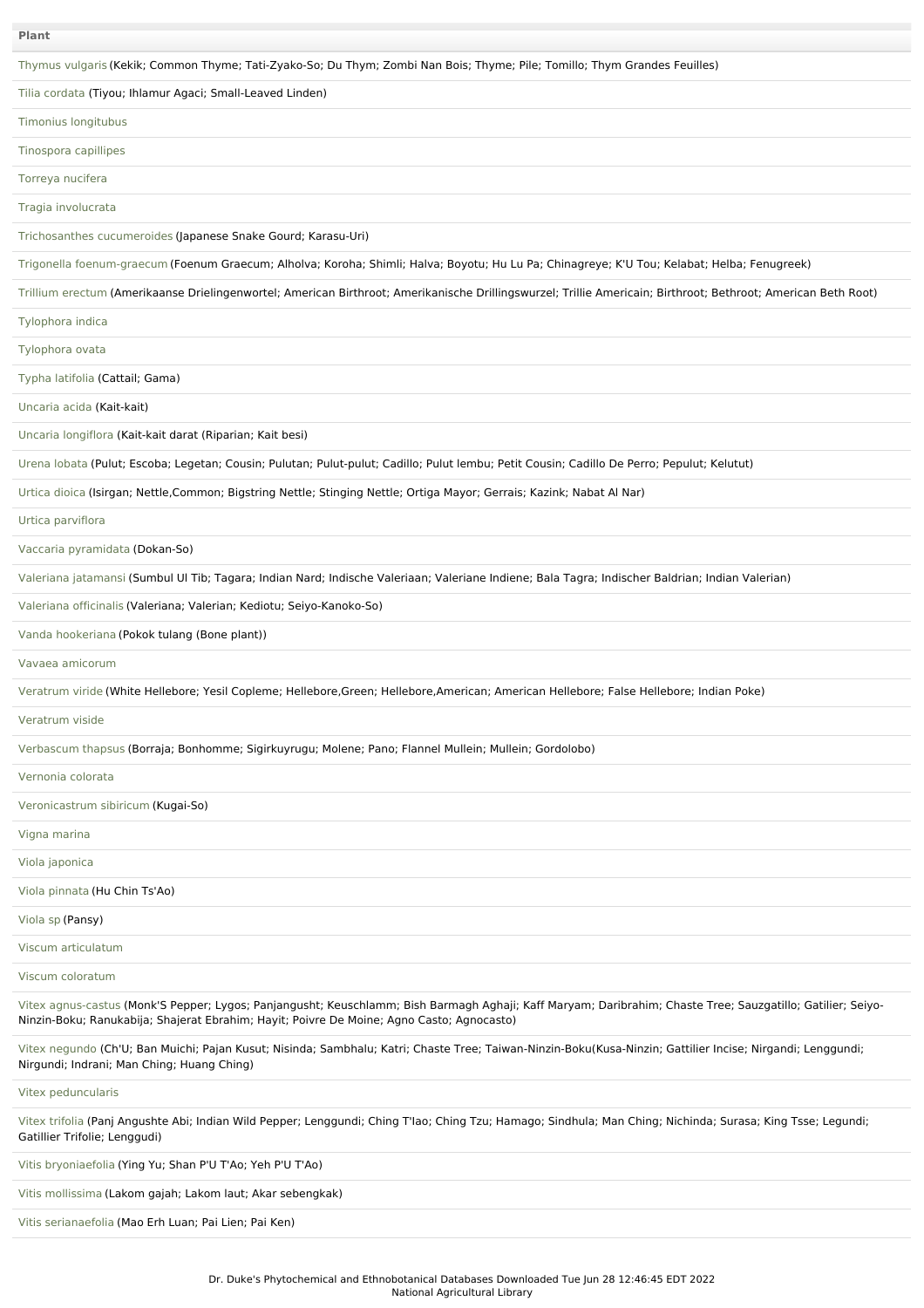| <b>Plant</b>                                                                                                                                                                                                                                             |
|----------------------------------------------------------------------------------------------------------------------------------------------------------------------------------------------------------------------------------------------------------|
| Thymus vulgaris (Kekik; Common Thyme; Tati-Zyako-So; Du Thym; Zombi Nan Bois; Thyme; Pile; Tomillo; Thym Grandes Feuilles)                                                                                                                               |
| Tilia cordata (Tiyou; Ihlamur Agaci; Small-Leaved Linden)                                                                                                                                                                                                |
| Timonius longitubus                                                                                                                                                                                                                                      |
| Tinospora capillipes                                                                                                                                                                                                                                     |
| Torreya nucifera                                                                                                                                                                                                                                         |
| Tragia involucrata                                                                                                                                                                                                                                       |
| Trichosanthes cucumeroides (Japanese Snake Gourd; Karasu-Uri)                                                                                                                                                                                            |
| Trigonella foenum-graecum (Foenum Graecum; Alholva; Koroha; Shimli; Halva; Boyotu; Hu Lu Pa; Chinagreye; K'U Tou; Kelabat; Helba; Fenugreek)                                                                                                             |
| Trillium erectum (Amerikaanse Drielingenwortel; American Birthroot; Amerikanische Drillingswurzel; Trillie Americain; Birthroot; Bethroot; American Beth Root)                                                                                           |
| Tylophora indica                                                                                                                                                                                                                                         |
| Tylophora ovata                                                                                                                                                                                                                                          |
| Typha latifolia (Cattail; Gama)                                                                                                                                                                                                                          |
| Uncaria acida (Kait-kait)                                                                                                                                                                                                                                |
| Uncaria longiflora (Kait-kait darat (Riparian; Kait besi)                                                                                                                                                                                                |
| Urena lobata (Pulut; Escoba; Legetan; Cousin; Pulutan; Pulut-pulut; Cadillo; Pulut lembu; Petit Cousin; Cadillo De Perro; Pepulut; Kelutut)                                                                                                              |
| Urtica dioica (Isirgan; Nettle,Common; Bigstring Nettle; Stinging Nettle; Ortiga Mayor; Gerrais; Kazink; Nabat Al Nar)                                                                                                                                   |
| Urtica parviflora                                                                                                                                                                                                                                        |
| Vaccaria pyramidata (Dokan-So)                                                                                                                                                                                                                           |
| Valeriana jatamansi (Sumbul UI Tib; Tagara; Indian Nard; Indische Valeriaan; Valeriane Indiene; Bala Tagra; Indischer Baldrian; Indian Valerian)                                                                                                         |
| Valeriana officinalis (Valeriana; Valerian; Kediotu; Seiyo-Kanoko-So)                                                                                                                                                                                    |
| Vanda hookeriana (Pokok tulang (Bone plant))                                                                                                                                                                                                             |
| Vavaea amicorum                                                                                                                                                                                                                                          |
| Veratrum viride (White Hellebore; Yesil Copleme; Hellebore,Green; Hellebore,American; American Hellebore; False Hellebore; Indian Poke)                                                                                                                  |
| Veratrum viside                                                                                                                                                                                                                                          |
| Verbascum thapsus (Borraja; Bonhomme; Sigirkuyrugu; Molene; Pano; Flannel Mullein; Mullein; Gordolobo)                                                                                                                                                   |
| Vernonia colorata                                                                                                                                                                                                                                        |
| Veronicastrum sibiricum (Kugai-So)                                                                                                                                                                                                                       |
| Vigna marina                                                                                                                                                                                                                                             |
| Viola japonica                                                                                                                                                                                                                                           |
| Viola pinnata (Hu Chin Ts'Ao)                                                                                                                                                                                                                            |
| Viola sp (Pansy)                                                                                                                                                                                                                                         |
| Viscum articulatum                                                                                                                                                                                                                                       |
| Viscum coloratum                                                                                                                                                                                                                                         |
| Vitex agnus-castus (Monk'S Pepper; Lygos; Panjangusht; Keuschlamm; Bish Barmagh Aghaji; Kaff Maryam; Daribrahim; Chaste Tree; Sauzgatillo; Gatilier; Seiyo-<br>Ninzin-Boku; Ranukabija; Shajerat Ebrahim; Hayit; Poivre De Moine; Agno Casto; Agnocasto) |
| Vitex negundo (Ch'U; Ban Muichi; Pajan Kusut; Nisinda; Sambhalu; Katri; Chaste Tree; Taiwan-Ninzin-Boku(Kusa-Ninzin; Gattilier Incise; Nirgandi; Lenggundi;<br>Nirgundi; Indrani; Man Ching; Huang Ching)                                                |
| Vitex peduncularis                                                                                                                                                                                                                                       |
| Vitex trifolia (Panj Angushte Abi; Indian Wild Pepper; Lenggundi; Ching T'lao; Ching Tzu; Hamago; Sindhula; Man Ching; Nichinda; Surasa; King Tsse; Legundi;<br>Gatillier Trifolie; Lenggudi)                                                            |
| Vitis bryoniaefolia (Ying Yu; Shan P'U T'Ao; Yeh P'U T'Ao)                                                                                                                                                                                               |
| Vitis mollissima (Lakom gajah; Lakom laut; Akar sebengkak)                                                                                                                                                                                               |
| Vitis serianaefolia (Mao Erh Luan; Pai Lien; Pai Ken)                                                                                                                                                                                                    |